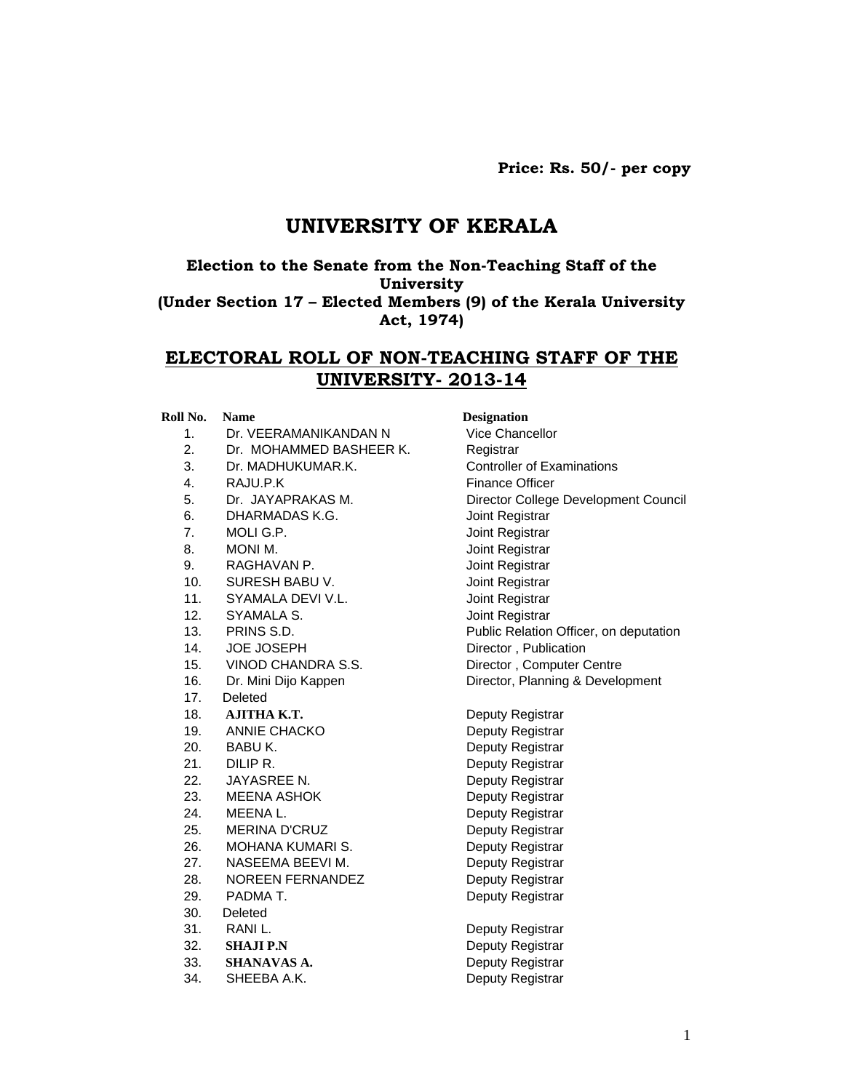# **UNIVERSITY OF KERALA**

**Election to the Senate from the Non-Teaching Staff of the University (Under Section 17 – Elected Members (9) of the Kerala University Act, 1974)** 

### **ELECTORAL ROLL OF NON-TEACHING STAFF OF THE UNIVERSITY- 2013-14**

### **Roll No. Name Designation**

- 1. Dr. VEERAMANIKANDAN N Vice Chancellor
- 2. Dr. MOHAMMED BASHEER K. Registrar
- 3. Dr. MADHUKUMAR.K. Controller of Examinations
- 4. RAJU.P.K Finance Officer
- 
- 6. DHARMADAS K.G. Solid Registrar
- 7. MOLI G.P. Joint Registrar
- 
- 9. RAGHAVAN P. Joint Registrar
- 10. SURESH BABU V. Joint Registrar
- 11. SYAMALA DEVI V.L. Joint Registrar
- 12. SYAMALA S. Joint Registrar
- 
- 
- 
- 
- 17. Deleted
- 18. **AJITHA K.T.** Deputy Registrar
- 19. ANNIE CHACKO Deputy Registrar
- 
- 
- 
- 23. MEENA ASHOK Deputy Registrar
- 
- 25. MERINA D'CRUZ Deputy Registrar
- 26. MOHANA KUMARI S. Deputy Registrar
- 27. NASEEMA BEEVI M. Deputy Registrar
- 28. NOREEN FERNANDEZ Deputy Registrar
- 
- 30. Deleted
- 
- 32. **SHAJI P.N** Deputy Registrar
- 33. **SHANAVAS A.** Deputy Registrar
- 34. SHEEBA A.K. Deputy Registrar

5. Dr. JAYAPRAKAS M. Director College Development Council 8. MONI M. Sandwich and Solid Registrar 13. PRINS S.D. Public Relation Officer, on deputation 14. JOE JOSEPH Director, Publication 15. VINOD CHANDRA S.S. Director, Computer Centre 16. Dr. Mini Dijo Kappen Director, Planning & Development

20. BABU K. **Deputy Registrar** 21. DILIP R. DEPUID Deputy Registrar 22. JAYASREE N. Deputy Registrar 24. MEENA L. Deputy Registrar 29. PADMA T. Deputy Registrar

31. RANI L. Deputy Registrar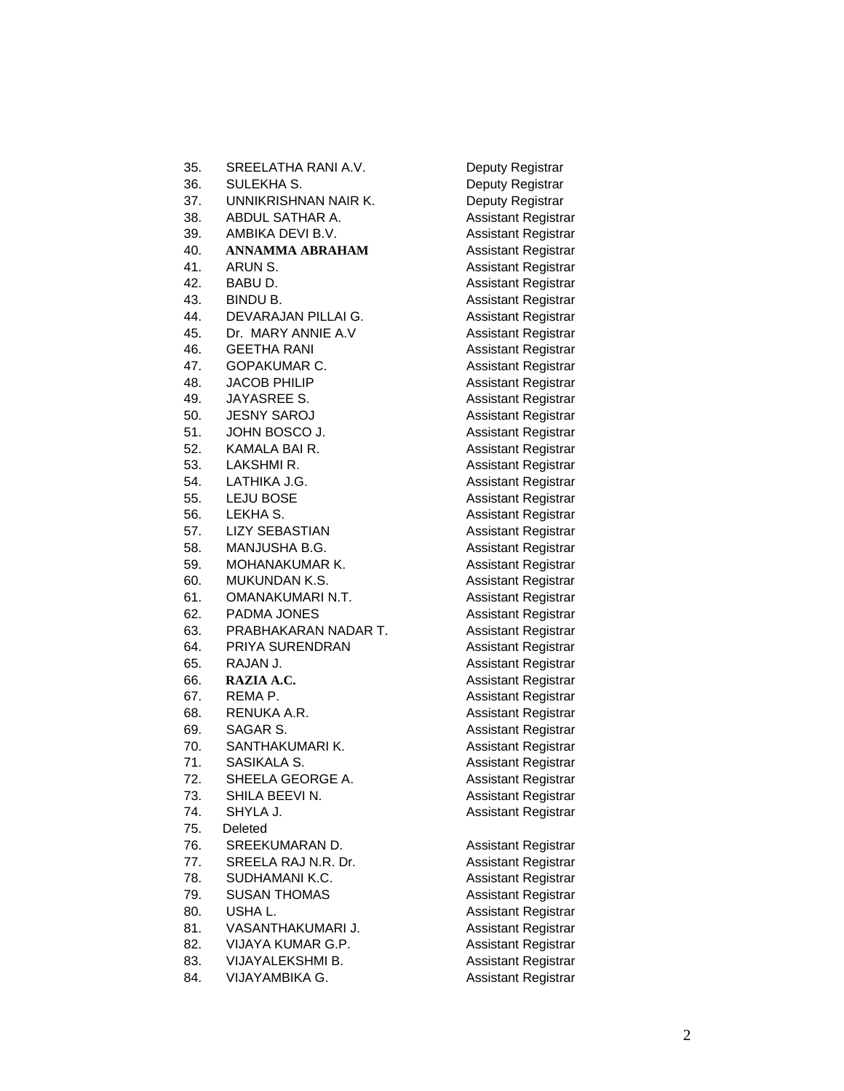35. SREELATHA RANI A.V. Deputy Registrar 36. SULEKHA S. Deputy Registrar 37. UNNIKRISHNAN NAIR K. Deputy Registrar 38. ABDUL SATHAR A. Assistant Registrar 39. AMBIKA DEVI B.V. **ALC:** Assistant Registrar 40. **ANNAMMA ABRAHAM** Assistant Registrar 41. ARUN S. **Assistant Registrar** 42. BABU D. **Assistant Registrar** 43. BINDU B. Assistant Registrar 44. DEVARAJAN PILLAI G. **Assistant Registrar** 45. Dr. MARY ANNIE A.V Assistant Registrar 46. GEETHA RANI Assistant Registrar 47. GOPAKUMAR C. **Assistant Registrar** 48. JACOB PHILIP Assistant Registrar 49. JAYASREE S. Assistant Registrar 50. JESNY SAROJ **Assistant Registrar** 51. JOHN BOSCO J. Assistant Registrar 52. KAMALA BAI R. **ASSISTAN BAI REGISTER** Assistant Registrar 53. LAKSHMI R. **Assistant Registrar** 54. LATHIKA J.G. **Alternative Contract Assistant Registrar** 55. LEJU BOSE Assistant Registrar 56. LEKHA S. **Assistant Registrar** 57. LIZY SEBASTIAN Assistant Registrar 58. MANJUSHA B.G. **Assistant Registrar** 59. MOHANAKUMAR K. Assistant Registrar 60. MUKUNDAN K.S. Assistant Registrar 61. OMANAKUMARI N.T. Assistant Registrar 62. PADMA JONES Assistant Registrar 63. PRABHAKARAN NADAR T. Assistant Registrar 64. PRIYA SURENDRAN Assistant Registrar 65. RAJAN J. **Assistant Registrar** 66. **RAZIA A.C.** Assistant Registrar 67. REMA P. **Assistant Registrar** 68. RENUKA A.R. **Assistant Registrar** Assistant Registrar 69. SAGAR S. Assistant Registrar 70. SANTHAKUMARI K. Assistant Registrar 71. SASIKALA S. Assistant Registrar 72. SHEELA GEORGE A. Assistant Registrar 73. SHILA BEEVI N. Assistant Registrar 74. SHYLA J. **Assistant Registrar** 75. Deleted 76. SREEKUMARAN D. Assistant Registrar 77. SREELA RAJ N.R. Dr. Assistant Registrar 78. SUDHAMANI K.C. **Assistant Registrar** 79. SUSAN THOMAS Assistant Registrar 80. USHA L. **Assistant Registrar** 81. VASANTHAKUMARI J. Assistant Registrar 82. VIJAYA KUMAR G.P. **Assistant Registrar** 83. VIJAYALEKSHMI B. Assistant Registrar 84. VIJAYAMBIKA G. Assistant Registrar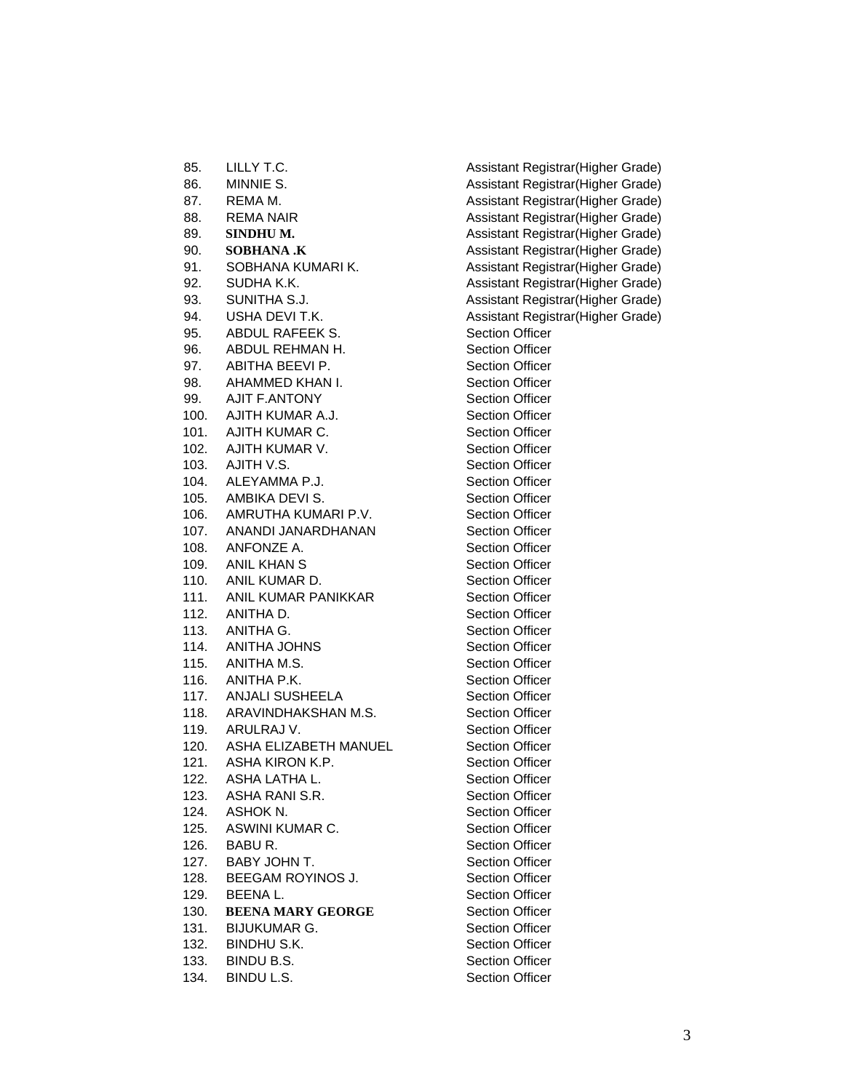85. LILLY T.C. **Assistant Registrar(Higher Grade)** 86. MINNIE S. Assistant Registrar(Higher Grade) 87. REMA M. **Assistant Registrar(Higher Grade)** Assistant Registrar(Higher Grade) 88. REMA NAIR **Assistant Registrar(Higher Grade)** Assistant Registrar(Higher Grade) 89. **SINDHU M.** Assistant Registrar(Higher Grade) 90. **SOBHANA .K** Assistant Registrar(Higher Grade) 91. SOBHANA KUMARI K. Assistant Registrar (Higher Grade) 92. SUDHA K.K. **Assistant Registrar(Higher Grade)** Assistant Registrar(Higher Grade) 93. SUNITHA S.J. **Assistant Registrar(Higher Grade)** 94. USHA DEVI T.K. Assistant Registrar(Higher Grade) 95. ABDUL RAFEEK S. Section Officer 96. ABDUL REHMAN H. Section Officer 97. ABITHA BEEVI P. Section Officer 98. AHAMMED KHAN I. Section Officer 99. AJIT F.ANTONY Section Officer 100. AJITH KUMAR A.J. Section Officer 101. AJITH KUMAR C. Section Officer 102. AJITH KUMAR V. Section Officer 103. AJITH V.S. Section Officer 104. ALEYAMMA P.J. Section Officer 105. AMBIKA DEVI S. Section Officer 106. AMRUTHA KUMARI P.V. Section Officer 107. ANANDI JANARDHANAN Section Officer 108. ANFONZE A. Section Officer 109. ANIL KHAN S
and the Section Officer 110. ANIL KUMAR D. Section Officer 111. ANIL KUMAR PANIKKAR Section Officer 112. ANITHA D. Section Officer 113. ANITHA G. Section Officer 114. ANITHA JOHNS Section Officer 115. ANITHA M.S. Section Officer 116. ANITHA P.K. Section Officer 117. ANJALI SUSHEELA Section Officer 118. ARAVINDHAKSHAN M.S. Section Officer 119. ARULRAJ V. Section Officer 120. ASHA ELIZABETH MANUEL Section Officer 121. ASHA KIRON K.P. Section Officer 122. ASHA LATHA L. Section Officer 123. ASHA RANI S.R. Section Officer 124. ASHOK N. Section Officer 125. ASWINI KUMAR C. Section Officer 126. BABU R. Section Officer 127. BABY JOHN T. Section Officer 128. BEEGAM ROYINOS J. Section Officer 129. BEENA L. Section Officer 130. **BEENA MARY GEORGE** Section Officer 131. BIJUKUMAR G. Section Officer 132. BINDHU S.K. Section Officer 133. BINDU B.S. Section Officer 134. BINDU L.S. Section Officer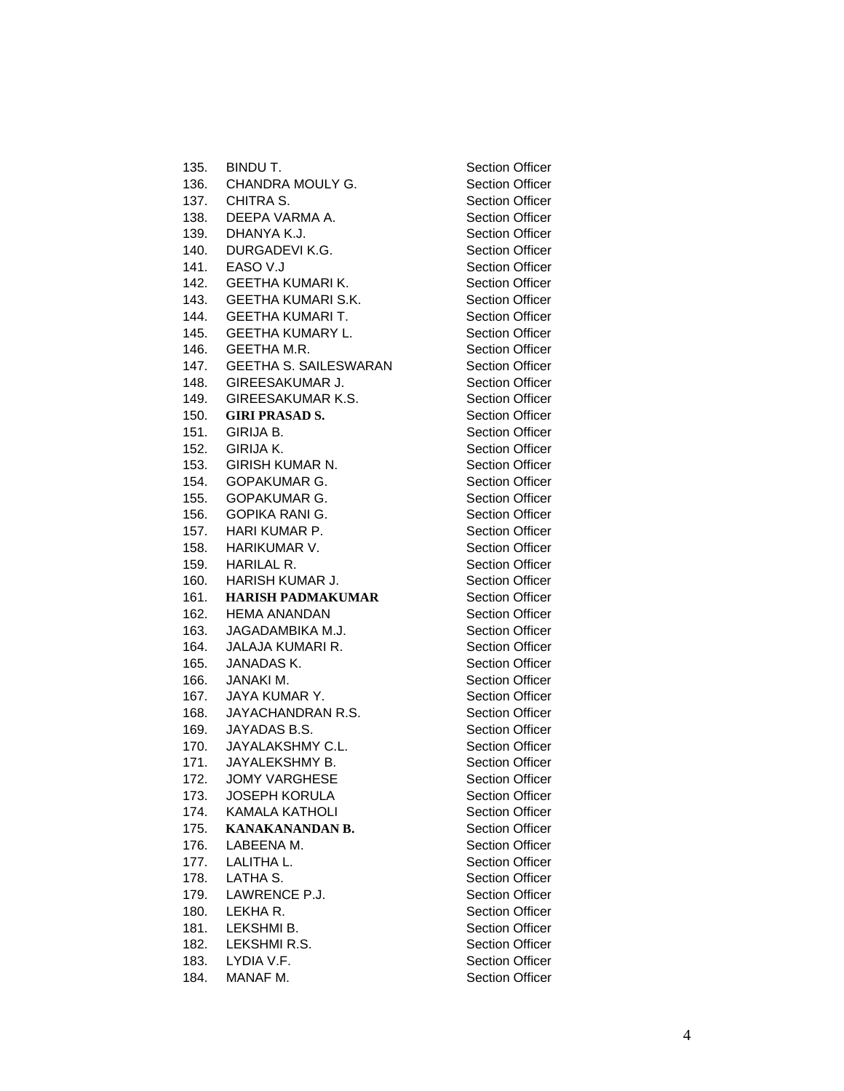| 135. | <b>BINDUT.</b>               | Section Officer        |
|------|------------------------------|------------------------|
| 136. | CHANDRA MOULY G.             | Section Officer        |
| 137. | CHITRA S.                    | Section Officer        |
| 138. | DEEPA VARMA A.               | <b>Section Officer</b> |
| 139. | DHANYA K.J.                  | <b>Section Officer</b> |
| 140. | DURGADEVI K.G.               | <b>Section Officer</b> |
| 141. | EASO V.J                     | <b>Section Officer</b> |
| 142. | <b>GEETHA KUMARI K.</b>      | <b>Section Officer</b> |
| 143. | GEETHA KUMARI S.K.           | <b>Section Officer</b> |
| 144. | GEETHA KUMARI T.             | <b>Section Officer</b> |
| 145. | <b>GEETHA KUMARY L.</b>      | <b>Section Officer</b> |
| 146. | GEETHA M.R.                  | <b>Section Officer</b> |
| 147. | <b>GEETHA S. SAILESWARAN</b> | <b>Section Officer</b> |
| 148. | GIREESAKUMAR J.              | <b>Section Officer</b> |
| 149. | GIREESAKUMAR K.S.            | <b>Section Officer</b> |
| 150. | <b>GIRI PRASAD S.</b>        | <b>Section Officer</b> |
| 151. | GIRIJA B.                    | <b>Section Officer</b> |
| 152. | GIRIJA K.                    | <b>Section Officer</b> |
| 153. | <b>GIRISH KUMAR N.</b>       | <b>Section Officer</b> |
| 154. | GOPAKUMAR G.                 | <b>Section Officer</b> |
| 155. | <b>GOPAKUMAR G.</b>          | <b>Section Officer</b> |
| 156. | <b>GOPIKA RANI G.</b>        | <b>Section Officer</b> |
| 157. | HARI KUMAR P.                | <b>Section Officer</b> |
| 158. | HARIKUMAR V.                 | <b>Section Officer</b> |
| 159. | HARILAL R.                   | <b>Section Officer</b> |
| 160. | HARISH KUMAR J.              | <b>Section Officer</b> |
| 161. | <b>HARISH PADMAKUMAR</b>     | <b>Section Officer</b> |
| 162. | <b>HEMA ANANDAN</b>          | <b>Section Officer</b> |
| 163. | JAGADAMBIKA M.J.             | <b>Section Officer</b> |
| 164. | JALAJA KUMARI R.             | Section Officer        |
| 165. | JANADAS K.                   | <b>Section Officer</b> |
| 166. | JANAKI M.                    | <b>Section Officer</b> |
| 167. | JAYA KUMAR Y.                | <b>Section Officer</b> |
| 168. | JAYACHANDRAN R.S.            | <b>Section Officer</b> |
| 169. | JAYADAS B.S.                 | <b>Section Officer</b> |
| 170. | JAYALAKSHMY C.L.             | Section Officer        |
| 171. | JAYALEKSHMY B.               | Section Officer        |
| 172. | <b>JOMY VARGHESE</b>         | Section Officer        |
| 173. | <b>JOSEPH KORULA</b>         | Section Officer        |
| 174. | <b>KAMALA KATHOLI</b>        | <b>Section Officer</b> |
| 175. | <b>KANAKANANDAN B.</b>       | <b>Section Officer</b> |
| 176. | LABEENA M.                   | <b>Section Officer</b> |
| 177. | LALITHA L.                   | <b>Section Officer</b> |
| 178. | LATHA S.                     | <b>Section Officer</b> |
| 179. | LAWRENCE P.J.                | <b>Section Officer</b> |
| 180. | LEKHA R.                     | <b>Section Officer</b> |
| 181. | LEKSHMI B.                   | <b>Section Officer</b> |
| 182. | LEKSHMI R.S.                 | <b>Section Officer</b> |
| 183. | LYDIA V.F.                   | Section Officer        |
| 184. | MANAF M.                     | <b>Section Officer</b> |
|      |                              |                        |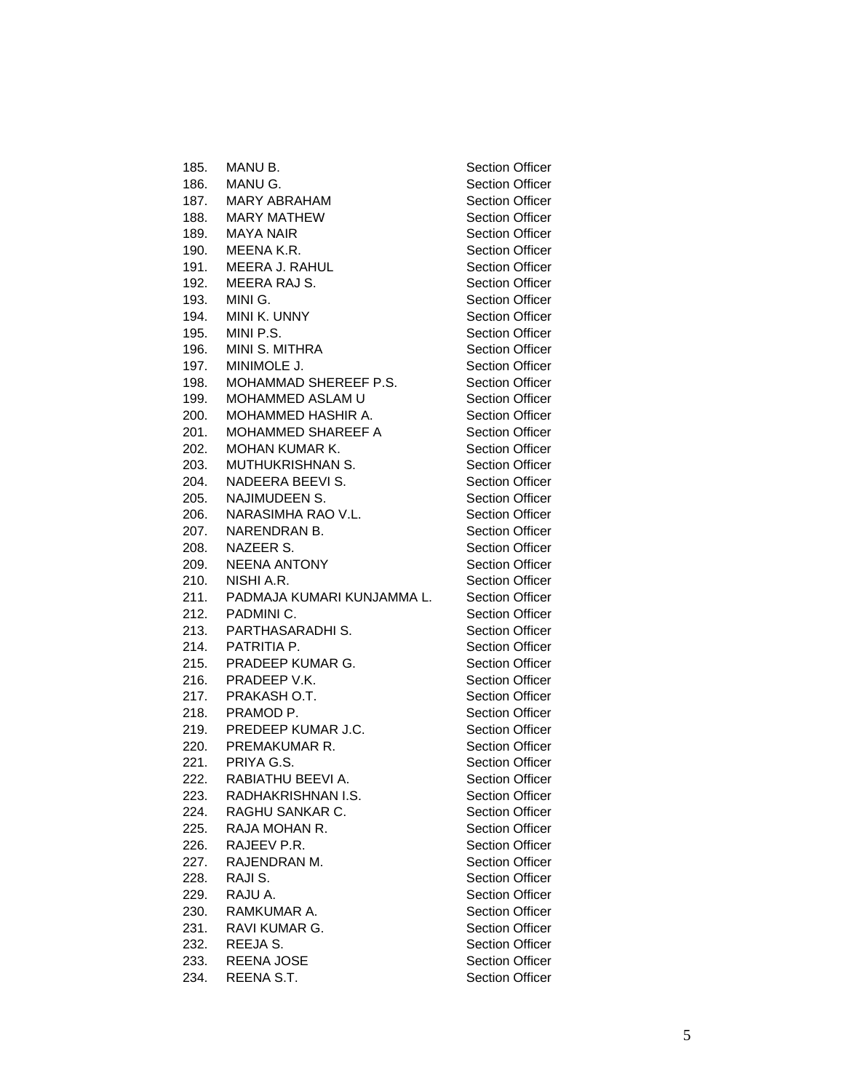| 185. | MANU B.                    | <b>Section Officer</b> |
|------|----------------------------|------------------------|
| 186. | MANU G.                    | <b>Section Officer</b> |
| 187. | <b>MARY ABRAHAM</b>        | <b>Section Officer</b> |
| 188. | <b>MARY MATHEW</b>         | <b>Section Officer</b> |
| 189. | <b>MAYA NAIR</b>           | <b>Section Officer</b> |
| 190. | MEENA K.R.                 | <b>Section Officer</b> |
| 191. | <b>MEERA J. RAHUL</b>      | <b>Section Officer</b> |
| 192. | MEERA RAJ S.               | <b>Section Officer</b> |
| 193. | MINI G.                    | <b>Section Officer</b> |
| 194. | MINI K. UNNY               | <b>Section Officer</b> |
| 195. | MINI P.S.                  | <b>Section Officer</b> |
| 196. | <b>MINI S. MITHRA</b>      | <b>Section Officer</b> |
| 197. | MINIMOLE J.                | <b>Section Officer</b> |
| 198. | MOHAMMAD SHEREEF P.S.      | <b>Section Officer</b> |
| 199. | MOHAMMED ASLAM U           | <b>Section Officer</b> |
| 200. | MOHAMMED HASHIR A.         | <b>Section Officer</b> |
| 201. | MOHAMMED SHAREEF A         | <b>Section Officer</b> |
| 202. | MOHAN KUMAR K.             | <b>Section Officer</b> |
| 203. | MUTHUKRISHNAN S.           | <b>Section Officer</b> |
| 204. | NADEERA BEEVI S.           | <b>Section Officer</b> |
| 205. | NAJIMUDEEN S.              | <b>Section Officer</b> |
| 206. | NARASIMHA RAO V.L.         | <b>Section Officer</b> |
| 207. | NARENDRAN B.               | <b>Section Officer</b> |
| 208. | NAZEER S.                  | <b>Section Officer</b> |
| 209. | <b>NEENA ANTONY</b>        | <b>Section Officer</b> |
| 210. | NISHI A.R.                 | <b>Section Officer</b> |
| 211. | PADMAJA KUMARI KUNJAMMA L. | <b>Section Officer</b> |
| 212. | PADMINI C.                 | <b>Section Officer</b> |
| 213. | PARTHASARADHIS.            | <b>Section Officer</b> |
| 214. | PATRITIA P.                | <b>Section Officer</b> |
| 215. | PRADEEP KUMAR G.           | <b>Section Officer</b> |
| 216. | PRADEEP V.K.               | <b>Section Officer</b> |
| 217. | PRAKASH O.T.               | <b>Section Officer</b> |
| 218. | PRAMOD <sub>P.</sub>       | <b>Section Officer</b> |
| 219. | PREDEEP KUMAR J.C.         | <b>Section Officer</b> |
| 220. | PREMAKUMAR R.              | <b>Section Officer</b> |
| 221. | PRIYA G.S.                 | <b>Section Officer</b> |
| 222. | RABIATHU BEEVI A.          | Section Officer        |
| 223. | RADHAKRISHNAN I.S.         | <b>Section Officer</b> |
| 224. | RAGHU SANKAR C.            | <b>Section Officer</b> |
| 225. | RAJA MOHAN R.              | <b>Section Officer</b> |
| 226. | RAJEEV P.R.                | <b>Section Officer</b> |
| 227. | RAJENDRAN M.               | <b>Section Officer</b> |
| 228. | RAJI S.                    | <b>Section Officer</b> |
| 229. | RAJU A.                    | <b>Section Officer</b> |
| 230. | RAMKUMAR A.                | <b>Section Officer</b> |
| 231. | RAVI KUMAR G.              | <b>Section Officer</b> |
| 232. | REEJA S.                   | <b>Section Officer</b> |
| 233. | <b>REENA JOSE</b>          | <b>Section Officer</b> |
| 234. | REENA S.T.                 | Section Officer        |
|      |                            |                        |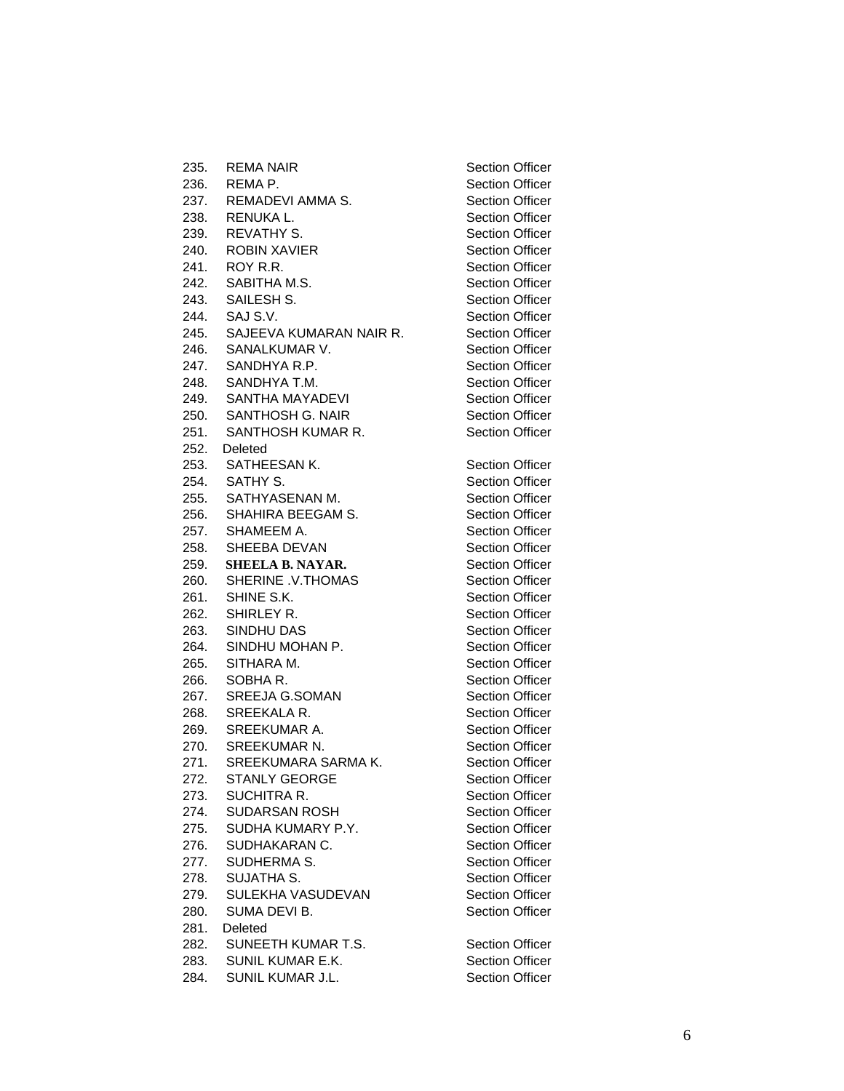| 235. | <b>REMA NAIR</b>        | Section Officer        |
|------|-------------------------|------------------------|
| 236. | REMA P.                 | Section Officer        |
| 237. | <b>REMADEVI AMMA S.</b> | Section Officer        |
| 238. | RENUKA L.               | Section Officer        |
| 239. | <b>REVATHY S.</b>       | <b>Section Officer</b> |
| 240. | <b>ROBIN XAVIER</b>     | Section Officer        |
| 241. | ROY R.R.                | Section Officer        |
| 242. | SABITHA M.S.            | Section Officer        |
| 243. | SAILESH S.              | Section Officer        |
| 244. | SAJ S.V.                | Section Officer        |
| 245. | SAJEEVA KUMARAN NAIR R. | Section Officer        |
| 246. | SANALKUMAR V.           | Section Officer        |
| 247. | SANDHYA R.P.            | Section Officer        |
| 248. | SANDHYA T.M.            | Section Officer        |
| 249. | <b>SANTHA MAYADEVI</b>  | Section Officer        |
| 250. | SANTHOSH G. NAIR        | Section Officer        |
| 251. | SANTHOSH KUMAR R.       | Section Officer        |
| 252. | Deleted                 |                        |
| 253. | SATHEESAN K.            | <b>Section Officer</b> |
| 254. | SATHY S.                | Section Officer        |
| 255. | SATHYASENAN M.          | Section Officer        |
| 256. | SHAHIRA BEEGAM S.       | Section Officer        |
| 257. | SHAMEEM A.              | Section Officer        |
| 258. | SHEEBA DEVAN            | Section Officer        |
| 259. | <b>SHEELA B. NAYAR.</b> | Section Officer        |
| 260. | SHERINE .V.THOMAS       | Section Officer        |
| 261. | SHINE S.K.              | Section Officer        |
| 262. | SHIRLEY R.              | Section Officer        |
| 263. | SINDHU DAS              | Section Officer        |
| 264. | SINDHU MOHAN P.         | Section Officer        |
| 265. | SITHARA M.              | Section Officer        |
| 266. | SOBHA R.                | Section Officer        |
| 267. | SREEJA G.SOMAN          | Section Officer        |
| 268. | SREEKALA R.             | Section Officer        |
| 269. | SREEKUMAR A.            | Section Officer        |
| 270. | <b>SREEKUMAR N.</b>     | Section Officer        |
| 271. | SREEKUMARA SARMA K.     | Section Officer        |
| 272. | STANLY GEORGE           | <b>Section Officer</b> |
| 273. | SUCHITRA R.             | Section Officer        |
| 274. | SUDARSAN ROSH           | Section Officer        |
| 275. | SUDHA KUMARY P.Y.       | Section Officer        |
| 276. | SUDHAKARAN C.           | Section Officer        |
| 277. | SUDHERMA S.             | Section Officer        |
| 278. | SUJATHA S.              | Section Officer        |
| 279. | SULEKHA VASUDEVAN       | Section Officer        |
|      |                         |                        |
| 280. | SUMA DEVI B.            | <b>Section Officer</b> |
| 281. | Deleted                 |                        |
| 282. | SUNEETH KUMAR T.S.      | Section Officer        |
| 283. | SUNIL KUMAR E.K.        | Section Officer        |
| 284. | SUNIL KUMAR J.L.        | Section Officer        |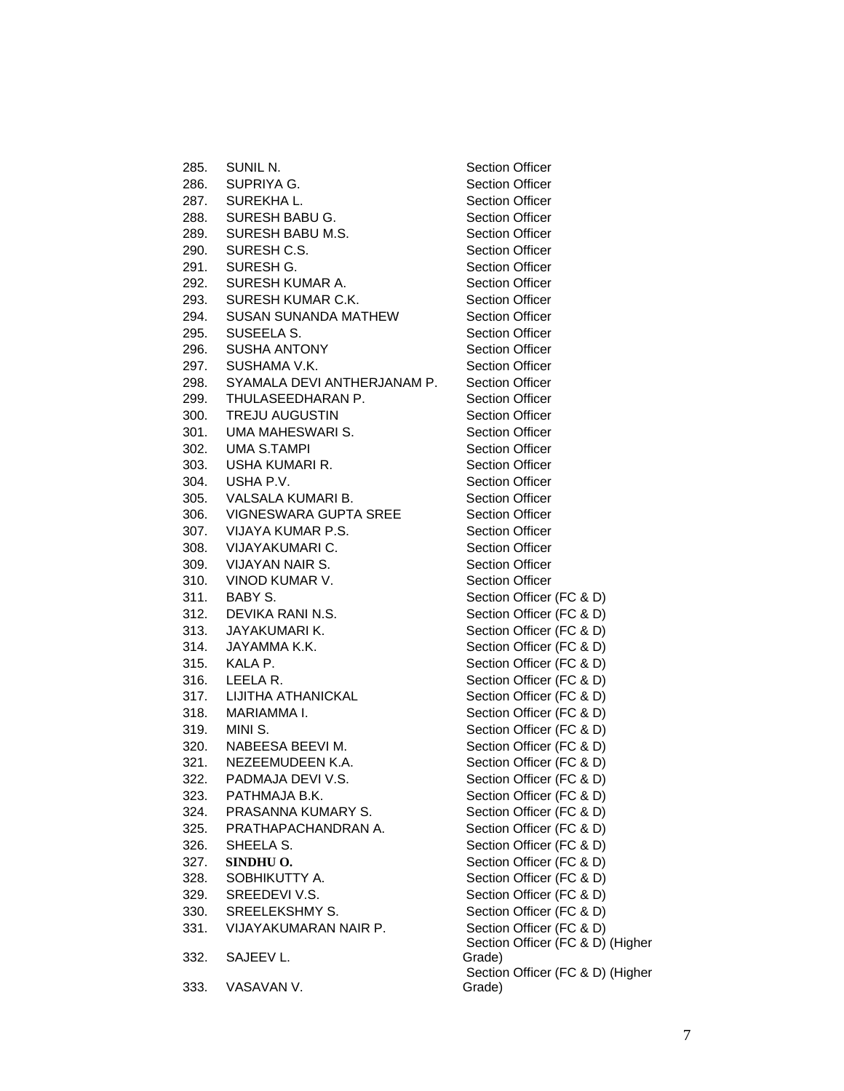| 285. | SUNIL N.                    | <b>Section Officer</b>                     |
|------|-----------------------------|--------------------------------------------|
| 286. | SUPRIYA G.                  | <b>Section Officer</b>                     |
| 287. | SUREKHA L.                  | <b>Section Officer</b>                     |
| 288. | SURESH BABU G.              | <b>Section Officer</b>                     |
|      | 289. SURESH BABU M.S.       | <b>Section Officer</b>                     |
| 290. | SURESH C.S.                 | <b>Section Officer</b>                     |
| 291. | SURESH G.                   | <b>Section Officer</b>                     |
| 292. | SURESH KUMAR A.             | <b>Section Officer</b>                     |
|      | 293. SURESH KUMAR C.K.      | <b>Section Officer</b>                     |
| 294. | <b>SUSAN SUNANDA MATHEW</b> | <b>Section Officer</b>                     |
| 295. | SUSEELA S.                  | <b>Section Officer</b>                     |
| 296. | <b>SUSHA ANTONY</b>         | <b>Section Officer</b>                     |
| 297. | SUSHAMA V.K.                | <b>Section Officer</b>                     |
| 298. | SYAMALA DEVI ANTHERJANAM P. | <b>Section Officer</b>                     |
|      | 299. THULASEEDHARAN P.      | <b>Section Officer</b>                     |
| 300. | <b>TREJU AUGUSTIN</b>       | <b>Section Officer</b>                     |
| 301. | UMA MAHESWARI S.            | <b>Section Officer</b>                     |
| 302. | UMA S.TAMPI                 | <b>Section Officer</b>                     |
| 303. | USHA KUMARI R.              | <b>Section Officer</b>                     |
| 304. | USHA P.V.                   | <b>Section Officer</b>                     |
| 305. | VALSALA KUMARI B.           | <b>Section Officer</b>                     |
| 306. | VIGNESWARA GUPTA SREE       | <b>Section Officer</b>                     |
| 307. | VIJAYA KUMAR P.S.           | <b>Section Officer</b>                     |
| 308. | VIJAYAKUMARI C.             | <b>Section Officer</b>                     |
| 309. | VIJAYAN NAIR S.             | <b>Section Officer</b>                     |
| 310. | VINOD KUMAR V.              | <b>Section Officer</b>                     |
| 311. | BABY S.                     | Section Officer (FC & D)                   |
|      | 312. DEVIKA RANI N.S.       | Section Officer (FC & D)                   |
| 313. | JAYAKUMARI K.               | Section Officer (FC & D)                   |
| 314. | JAYAMMA K.K.                | Section Officer (FC & D)                   |
| 315. | KALA P.                     | Section Officer (FC & D)                   |
| 316. | LEELA R.                    | Section Officer (FC & D)                   |
| 317. | LIJITHA ATHANICKAL          | Section Officer (FC & D)                   |
| 318. | MARIAMMA I.                 | Section Officer (FC & D)                   |
| 319. | MINI S.                     | Section Officer (FC & D)                   |
| 320. | NABEESA BEEVI M.            | Section Officer (FC & D)                   |
| 321. | NEZEEMUDEEN K.A.            | Section Officer (FC & D)                   |
| 322. | PADMAJA DEVI V.S.           | Section Officer (FC & D)                   |
| 323. | PATHMAJA B.K.               | Section Officer (FC & D)                   |
| 324. | PRASANNA KUMARY S.          | Section Officer (FC & D)                   |
| 325. | PRATHAPACHANDRAN A.         | Section Officer (FC & D)                   |
| 326. | SHEELA S.                   | Section Officer (FC & D)                   |
| 327. | SINDHU O.                   | Section Officer (FC & D)                   |
| 328. | SOBHIKUTTY A.               | Section Officer (FC & D)                   |
| 329. | SREEDEVI V.S.               | Section Officer (FC & D)                   |
| 330. | <b>SREELEKSHMY S.</b>       | Section Officer (FC & D)                   |
| 331. | VIJAYAKUMARAN NAIR P.       | Section Officer (FC & D)                   |
| 332. | SAJEEV L.                   | Section Officer (FC & D) (Higher<br>Grade) |
| 333. | VASAVAN V.                  | Section Officer (FC & D) (Higher           |
|      |                             | Grade)                                     |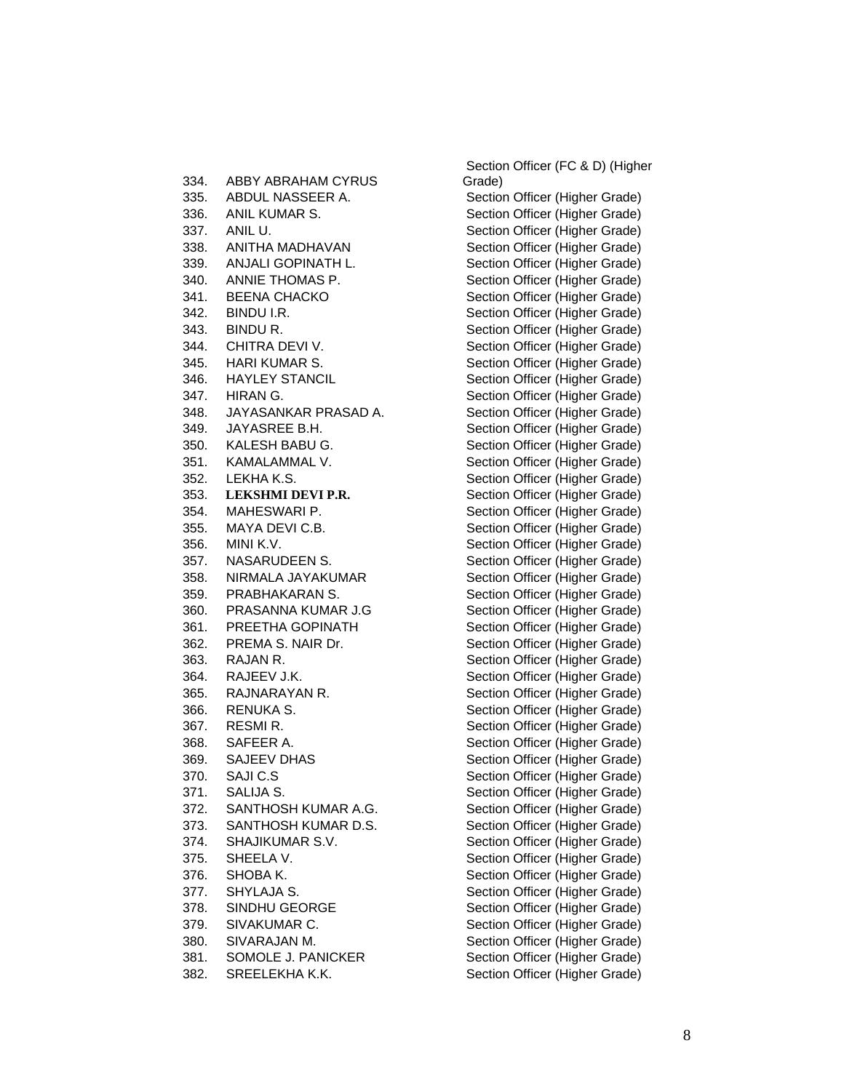334. ABBY ABRAHAM CYRUS 335. ABDUL NASSEER A. Section Officer (Higher Grade) 336. ANIL KUMAR S. Section Officer (Higher Grade) 337. ANIL U. Section Officer (Higher Grade) 338. ANITHA MADHAVAN Section Officer (Higher Grade) 339. ANJALI GOPINATH L. Section Officer (Higher Grade) 340. ANNIE THOMAS P. Section Officer (Higher Grade) 341. BEENA CHACKO Section Officer (Higher Grade) 342. BINDU I.R. Section Officer (Higher Grade) 343. BINDU R. Section Officer (Higher Grade) 344. CHITRA DEVI V. Section Officer (Higher Grade) 345. HARI KUMAR S. Section Officer (Higher Grade) 346. HAYLEY STANCIL Section Officer (Higher Grade) 347. HIRAN G. Section Officer (Higher Grade) 348. JAYASANKAR PRASAD A. Section Officer (Higher Grade) 349. JAYASREE B.H. Section Officer (Higher Grade) 350. KALESH BABU G. Section Officer (Higher Grade) 351. KAMALAMMAL V. Section Officer (Higher Grade) 352. LEKHA K.S. Section Officer (Higher Grade) 353. **LEKSHMI DEVI P.R.** Section Officer (Higher Grade) 354. MAHESWARI P. Section Officer (Higher Grade) 355. MAYA DEVI C.B. Section Officer (Higher Grade) 356. MINI K.V. Section Officer (Higher Grade) 357. NASARUDEEN S. Section Officer (Higher Grade) 358. NIRMALA JAYAKUMAR Section Officer (Higher Grade) 359. PRABHAKARAN S. Section Officer (Higher Grade) 360. PRASANNA KUMAR J.G Section Officer (Higher Grade) 361. PREETHA GOPINATH Section Officer (Higher Grade) 362. PREMA S. NAIR Dr. Section Officer (Higher Grade) 363. RAJAN R. Section Officer (Higher Grade) 364. RAJEEV J.K. Section Officer (Higher Grade) 365. RAJNARAYAN R. Section Officer (Higher Grade) 366. RENUKA S. Section Officer (Higher Grade) 367. RESMI R. Section Officer (Higher Grade) 368. SAFEER A. Same Section Officer (Higher Grade) 369. SAJEEV DHAS Section Officer (Higher Grade) 370. SAJI C.S Section Officer (Higher Grade) Section Officer (Higher Grade) 371. SALIJA S. Section Officer (Higher Grade) 372. SANTHOSH KUMAR A.G. Section Officer (Higher Grade) 373. SANTHOSH KUMAR D.S. Section Officer (Higher Grade) 374. SHAJIKUMAR S.V. Section Officer (Higher Grade) 375. SHEELA V. Sand Controller Section Officer (Higher Grade) 376. SHOBA K. Sand Section Officer (Higher Grade) 377. SHYLAJA S. Sand Section Officer (Higher Grade) 378. SINDHU GEORGE Section Officer (Higher Grade) 379. SIVAKUMAR C. Sand Section Officer (Higher Grade) 380. SIVARAJAN M. Section Officer (Higher Grade) 381. SOMOLE J. PANICKER Section Officer (Higher Grade)

 Section Officer (FC & D) (Higher Grade) 382. SREELEKHA K.K. Section Officer (Higher Grade)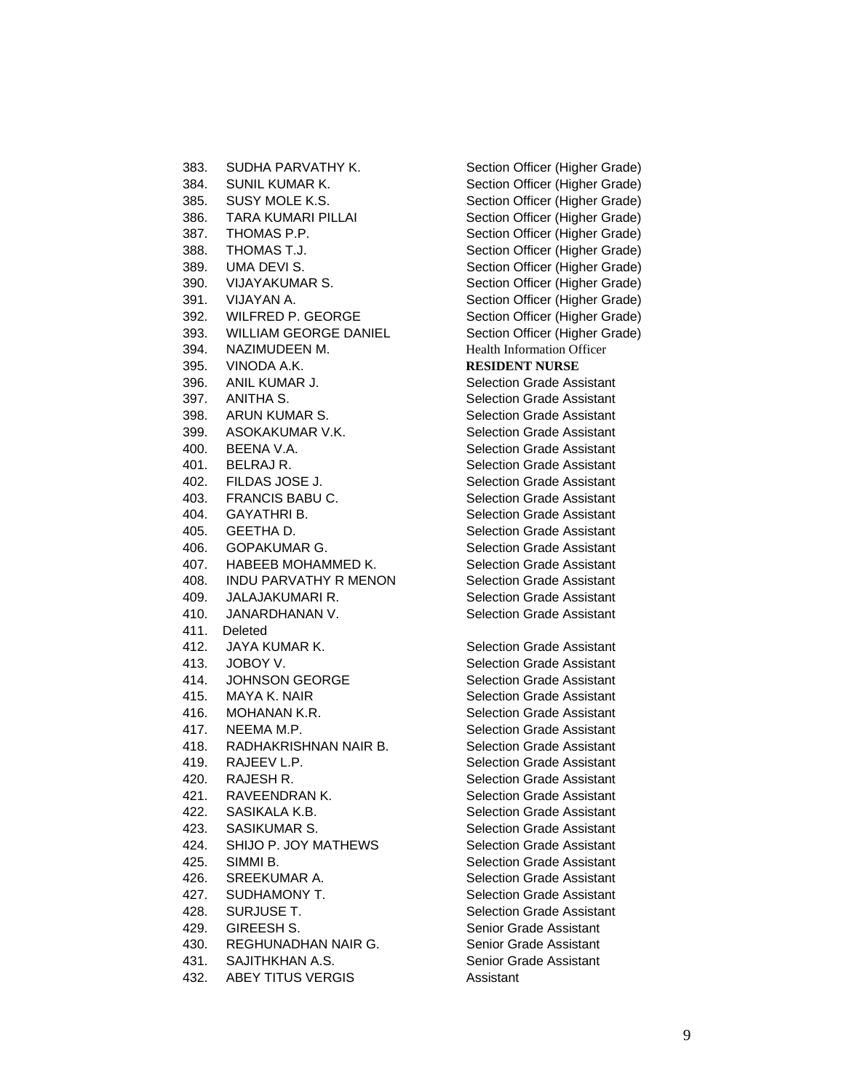- 383. SUDHA PARVATHY K. Section Officer (Higher Grade) 384. SUNIL KUMAR K. Section Officer (Higher Grade) 385. SUSY MOLE K.S. Sand Section Officer (Higher Grade) 386. TARA KUMARI PILLAI Section Officer (Higher Grade) 387. THOMAS P.P. Section Officer (Higher Grade) 388. THOMAS T.J. Section Officer (Higher Grade) 389. UMA DEVI S. Section Officer (Higher Grade) 390. VIJAYAKUMAR S. Section Officer (Higher Grade) 391. VIJAYAN A. Section Officer (Higher Grade) 392. WILFRED P. GEORGE Section Officer (Higher Grade) 393. WILLIAM GEORGE DANIEL Section Officer (Higher Grade) 394. NAZIMUDEEN M. Health Information Officer 395. VINODA A.K. **RESIDENT NURSE**  396. ANIL KUMAR J. Selection Grade Assistant 397. ANITHA S. Selection Grade Assistant 398. ARUN KUMAR S. Selection Grade Assistant 399. ASOKAKUMAR V.K. Selection Grade Assistant 400. BEENA V.A. Selection Grade Assistant 401. BELRAJ R. Selection Grade Assistant 402. FILDAS JOSE J. Selection Grade Assistant 403. FRANCIS BABU C. Selection Grade Assistant 404. GAYATHRI B. Selection Grade Assistant 405. GEETHA D. Selection Grade Assistant 406. GOPAKUMAR G. Selection Grade Assistant 407. HABEEB MOHAMMED K. Selection Grade Assistant 408. INDU PARVATHY R MENON Selection Grade Assistant 409. JALAJAKUMARI R. Selection Grade Assistant 410. JANARDHANAN V. Selection Grade Assistant 411. Deleted 412. JAYA KUMAR K. Selection Grade Assistant 413. JOBOY V. Selection Grade Assistant 414. JOHNSON GEORGE Selection Grade Assistant 415. MAYA K. NAIR Selection Grade Assistant 416. MOHANAN K.R. Selection Grade Assistant 417. NEEMA M.P. Selection Grade Assistant 418. RADHAKRISHNAN NAIR B. Selection Grade Assistant 419. RAJEEV L.P. Selection Grade Assistant 420. RAJESH R. Selection Grade Assistant 421. RAVEENDRAN K. Selection Grade Assistant 422. SASIKALA K.B. Salection Grade Assistant 423. SASIKUMAR S. Salection Grade Assistant 424. SHIJO P. JOY MATHEWS Selection Grade Assistant 425. SIMMI B. Selection Grade Assistant 426. SREEKUMAR A. Selection Grade Assistant 427. SUDHAMONY T. Subsettion Grade Assistant 428. SURJUSE T. Subsettion Grade Assistant 429. GIREESH S. Senior Grade Assistant 430. REGHUNADHAN NAIR G. Senior Grade Assistant 431. SAJITHKHAN A.S. Senior Grade Assistant
- 432. ABEY TITUS VERGIS **ASSISTEM**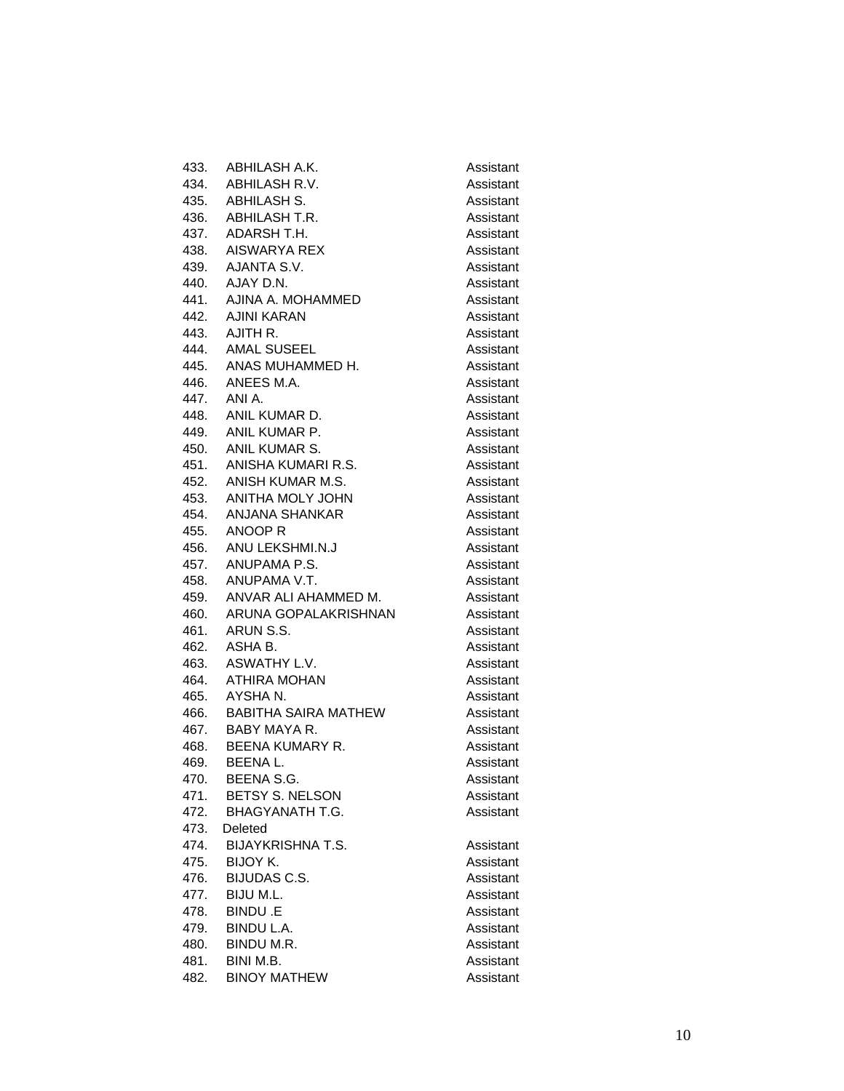| 433. | ABHILASH A.K.             | Assistant |
|------|---------------------------|-----------|
| 434. | ABHILASH R.V.             | Assistant |
| 435. | ABHILASH S.               | Assistant |
|      | 436. ABHILASH T.R.        | Assistant |
|      | 437. ADARSH T.H.          | Assistant |
|      | 438. AISWARYA REX         | Assistant |
|      | 439. AJANTA S.V.          | Assistant |
|      | 440. AJAY D.N.            | Assistant |
|      | 441. AJINA A. MOHAMMED    | Assistant |
|      | 442. AJINI KARAN          | Assistant |
| 443. | AJITH R.                  | Assistant |
|      | 444. AMAL SUSEEL          | Assistant |
|      | 445. ANAS MUHAMMED H.     | Assistant |
| 446. | ANEES M.A.                | Assistant |
| 447. | ANI A.                    | Assistant |
| 448. | ANIL KUMAR D.             | Assistant |
|      | 449. ANIL KUMAR P.        | Assistant |
|      | 450. ANIL KUMAR S.        | Assistant |
|      | 451. ANISHA KUMARI R.S.   | Assistant |
|      | 452. ANISH KUMAR M.S.     | Assistant |
|      | 453. ANITHA MOLY JOHN     | Assistant |
|      | 454. ANJANA SHANKAR       | Assistant |
|      | 455. ANOOP R              | Assistant |
|      | 456. ANU LEKSHMI.N.J      | Assistant |
|      | 457. ANUPAMA P.S.         | Assistant |
| 458. | ANUPAMA V.T.              | Assistant |
| 459. | ANVAR ALI AHAMMED M.      | Assistant |
| 460. | ARUNA GOPALAKRISHNAN      | Assistant |
| 461. | ARUN S.S.                 | Assistant |
| 462. | ASHA B.                   | Assistant |
| 463. | ASWATHY L.V.              | Assistant |
| 464. | <b>ATHIRA MOHAN</b>       | Assistant |
| 465. | AYSHA N.                  | Assistant |
|      | 466. BABITHA SAIRA MATHEW | Assistant |
|      | 467. BABY MAYA R.         | Assistant |
|      | 468. BEENA KUMARY R.      | Assistant |
|      | 469. BEENA L.             | Assistant |
| 470. | BEENA S.G.                | Assistant |
|      | 471. BETSY S. NELSON      | Assistant |
| 472. | <b>BHAGYANATH T.G.</b>    | Assistant |
| 473. | Deleted                   |           |
| 474. | BIJAYKRISHNA T.S.         | Assistant |
| 475. | BIJOY K.                  | Assistant |
| 476. | <b>BIJUDAS C.S.</b>       | Assistant |
| 477. | BIJU M.L.                 | Assistant |
| 478. | BINDU.E                   | Assistant |
| 479. | BINDU L.A.                | Assistant |
| 480. | BINDU M.R.                | Assistant |
|      | 481. BINI M.B.            | Assistant |
|      | <b>BINOY MATHEW</b>       |           |
| 482. |                           | Assistant |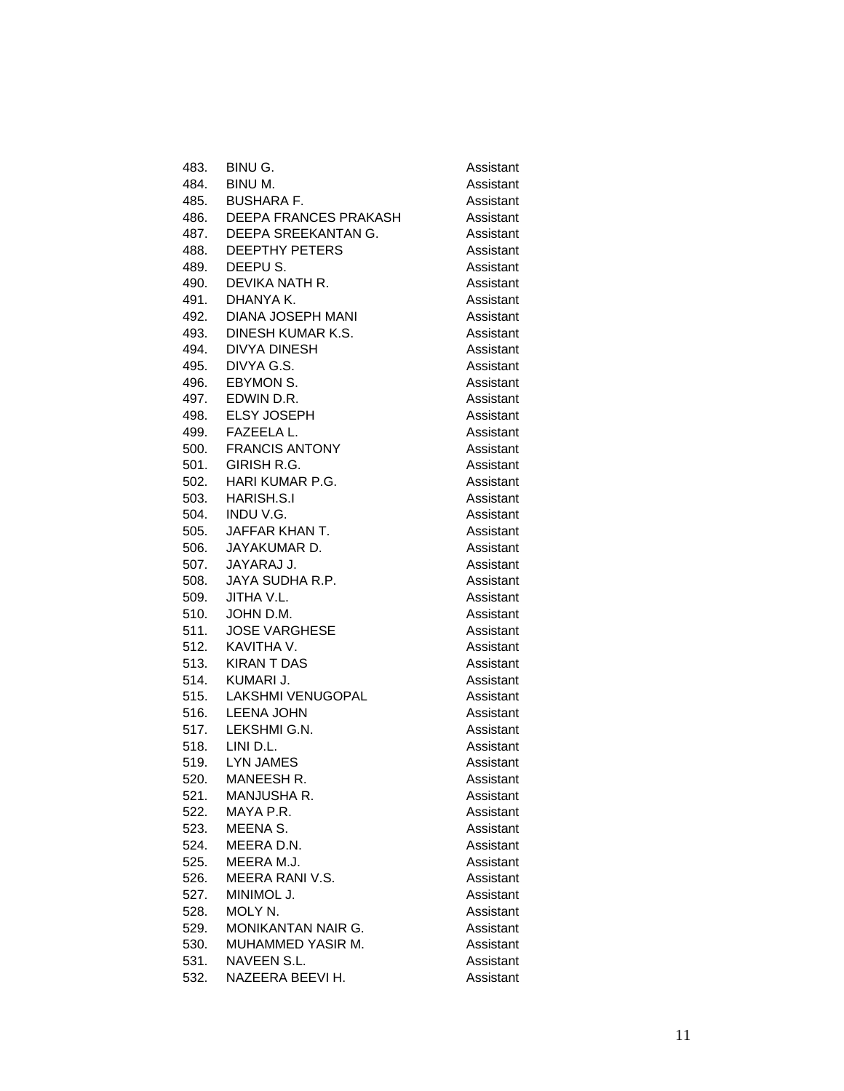| 483. | BINU G.                  | Assistant |
|------|--------------------------|-----------|
| 484. | BINU M.                  | Assistant |
| 485. | <b>BUSHARA F.</b>        | Assistant |
| 486. | DEEPA FRANCES PRAKASH    | Assistant |
| 487. | DEEPA SREEKANTAN G.      | Assistant |
| 488. | <b>DEEPTHY PETERS</b>    | Assistant |
| 489. | DEEPU S.                 | Assistant |
| 490. | DEVIKA NATH R.           | Assistant |
| 491. | DHANYA K.                | Assistant |
| 492. | <b>DIANA JOSEPH MANI</b> | Assistant |
| 493. | DINESH KUMAR K.S.        | Assistant |
| 494. | <b>DIVYA DINESH</b>      | Assistant |
| 495. | DIVYA G.S.               | Assistant |
| 496. | EBYMON S.                | Assistant |
|      | 497. EDWIN D.R.          | Assistant |
| 498. | <b>ELSY JOSEPH</b>       | Assistant |
| 499. | FAZEELA L.               | Assistant |
| 500. | <b>FRANCIS ANTONY</b>    | Assistant |
| 501. | GIRISH R.G.              | Assistant |
| 502. | HARI KUMAR P.G.          | Assistant |
| 503. | HARISH.S.I               | Assistant |
| 504. | INDU V.G.                | Assistant |
| 505. | JAFFAR KHAN T.           | Assistant |
| 506. | JAYAKUMAR D.             | Assistant |
| 507. | JAYARAJ J.               | Assistant |
| 508. | JAYA SUDHA R.P.          | Assistant |
| 509. | JITHA V.L.               | Assistant |
| 510. | JOHN D.M.                | Assistant |
| 511. | <b>JOSE VARGHESE</b>     | Assistant |
| 512. | KAVITHA V.               | Assistant |
| 513. | KIRAN T DAS              | Assistant |
| 514. | KUMARI J.                | Assistant |
| 515. | LAKSHMI VENUGOPAL        | Assistant |
|      | 516. LEENA JOHN          | Assistant |
|      | 517. LEKSHMI G.N.        | Assistant |
|      | 518. LINI D.L.           | Assistant |
|      | 519. LYN JAMES           | Assistant |
| 520. | MANEESH R.               | Assistant |
| 521. | MANJUSHA R.              | Assistant |
| 522. | MAYA P.R.                | Assistant |
| 523. | MEENA S.                 | Assistant |
| 524. | MEERA D.N.               | Assistant |
| 525. | MEERA M.J.               | Assistant |
| 526. | MEERA RANI V.S.          | Assistant |
| 527. | MINIMOL J.               | Assistant |
| 528. | MOLY N.                  | Assistant |
| 529. | MONIKANTAN NAIR G.       | Assistant |
| 530. | MUHAMMED YASIR M.        | Assistant |
| 531. | NAVEEN S.L.              | Assistant |
| 532. | NAZEERA BEEVI H.         | Assistant |
|      |                          |           |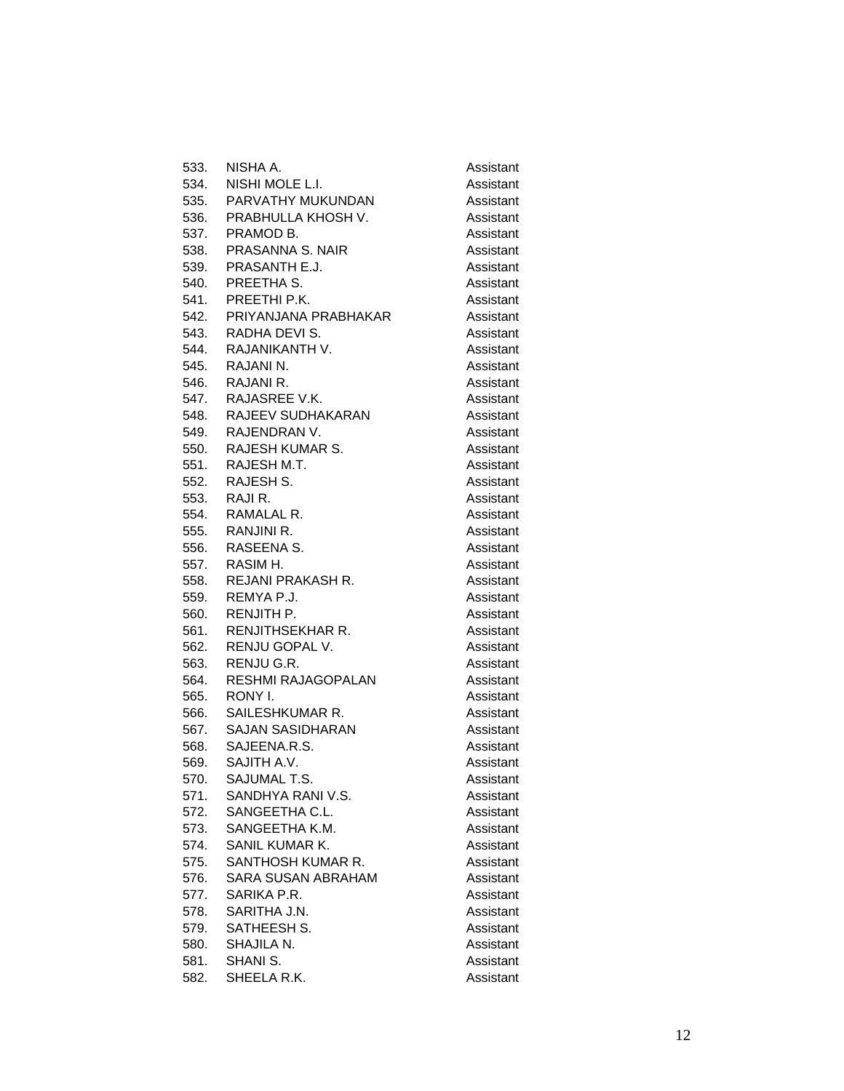| 533. | NISHA A.                  | Assistant |
|------|---------------------------|-----------|
| 534. | NISHI MOLE L.I.           | Assistant |
| 535. | PARVATHY MUKUNDAN         | Assistant |
| 536. | PRABHULLA KHOSH V.        | Assistant |
| 537. | PRAMOD B.                 | Assistant |
| 538. | PRASANNA S. NAIR          | Assistant |
| 539. | PRASANTH E.J.             | Assistant |
| 540. | PREETHA S.                | Assistant |
| 541. | PREETHI P.K.              | Assistant |
|      | 542. PRIYANJANA PRABHAKAR | Assistant |
|      | 543. RADHA DEVI S.        | Assistant |
|      | 544. RAJANIKANTH V.       | Assistant |
|      | 545. RAJANI N.            | Assistant |
|      | 546. RAJANI R.            | Assistant |
| 547. | RAJASREE V.K.             | Assistant |
|      | 548. RAJEEV SUDHAKARAN    | Assistant |
| 549. | RAJENDRAN V.              | Assistant |
| 550. | RAJESH KUMAR S.           | Assistant |
| 551. | RAJESH M.T.               | Assistant |
|      | 552. RAJESH S.            | Assistant |
|      | 553. RAJI R.              | Assistant |
|      | 554. RAMALAL R.           | Assistant |
|      | 555. RANJINI R.           | Assistant |
|      | 556. RASEENA S.           | Assistant |
| 557. | RASIM H.                  | Assistant |
| 558. | REJANI PRAKASH R.         | Assistant |
| 559. | REMYA P.J.                | Assistant |
| 560. | RENJITH P.                | Assistant |
| 561. | RENJITHSEKHAR R.          | Assistant |
| 562. | RENJU GOPAL V.            | Assistant |
| 563. | RENJU G.R.                | Assistant |
| 564. | RESHMI RAJAGOPALAN        | Assistant |
| 565. | RONY I.                   | Assistant |
| 566. | SAILESHKUMAR R.           | Assistant |
| 567. | SAJAN SASIDHARAN          | Assistant |
| 568. | SAJEENA.R.S.              | Assistant |
| 569. | SAJITH A.V.               | Assistant |
| 570. | SAJUMAL T.S.              | Assistant |
| 571. | SANDHYA RANI V.S.         | Assistant |
| 572. | SANGEETHA C.L.            | Assistant |
| 573. | SANGEETHA K.M.            | Assistant |
| 574. | SANIL KUMAR K.            | Assistant |
| 575. | SANTHOSH KUMAR R.         | Assistant |
| 576. | SARA SUSAN ABRAHAM        | Assistant |
| 577. | SARIKA P.R.               | Assistant |
| 578. | SARITHA J.N.              | Assistant |
| 579. | SATHEESH S.               | Assistant |
| 580. | SHAJILA N.                | Assistant |
| 581. | SHANI S.                  | Assistant |
| 582. | SHEELA R.K.               | Assistant |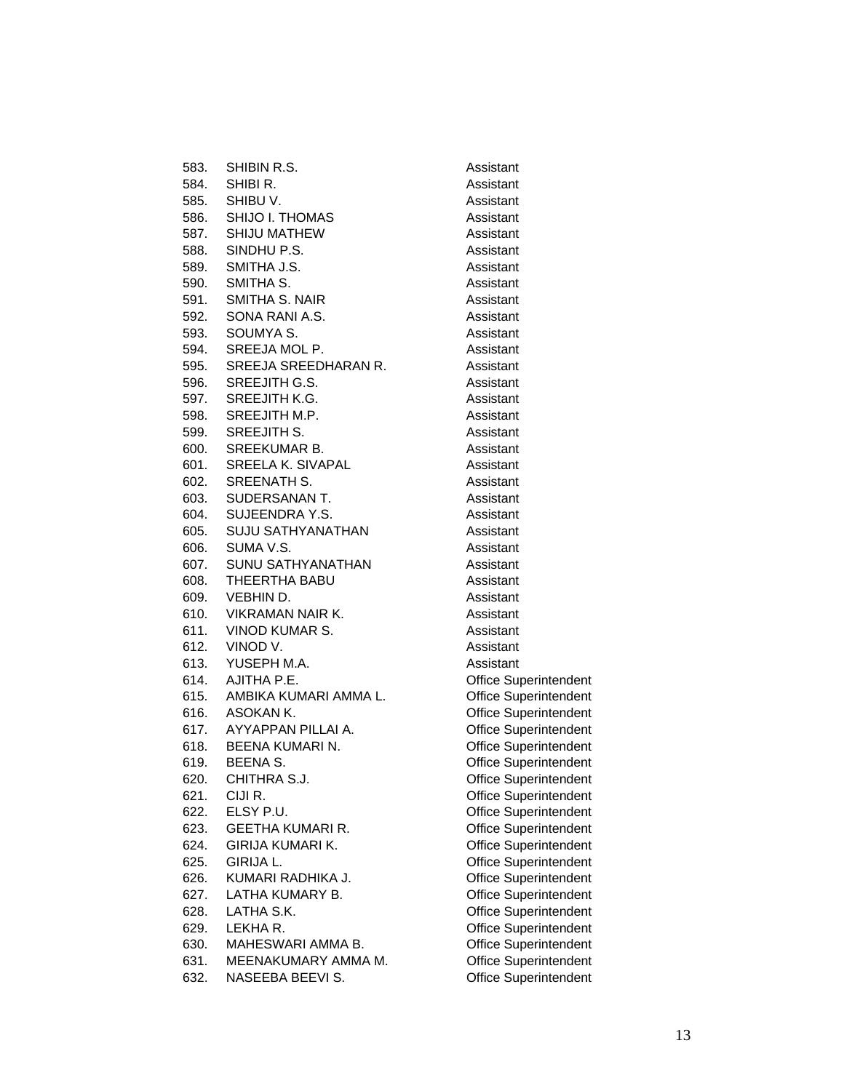| 583. | SHIBIN R.S.                | Assistant  |
|------|----------------------------|------------|
|      | 584. SHIBI R.              | Assistant  |
|      | 585. SHIBU V.              | Assistant  |
|      | 586. SHIJO I. THOMAS       | Assistant  |
|      | 587. SHIJU MATHEW          | Assistant  |
|      | 588. SINDHU P.S.           | Assistant  |
|      | 589. SMITHA J.S.           | Assistant  |
|      | 590. SMITHA S.             | Assistant  |
|      | 591. SMITHA S. NAIR        | Assistant  |
|      | 592. SONA RANI A.S.        | Assistant  |
|      | 593. SOUMYA S.             | Assistant  |
|      | 594. SREEJA MOL P.         | Assistant  |
|      | 595. SREEJA SREEDHARAN R.  | Assistant  |
|      | 596. SREEJITH G.S.         | Assistant  |
|      | 597. SREEJITH K.G.         | Assistant  |
|      | 598. SREEJITH M.P.         | Assistant  |
|      | 599. SREEJITH S.           | Assistant  |
|      | 600. SREEKUMAR B.          | Assistant  |
|      | 601. SREELA K. SIVAPAL     | Assistant  |
|      | 602. SREENATH S.           | Assistant  |
|      | 603. SUDERSANAN T.         | Assistant  |
|      | 604. SUJEENDRA Y.S.        | Assistant  |
|      | 605. SUJU SATHYANATHAN     | Assistant  |
|      | 606. SUMA V.S.             | Assistant  |
|      | 607. SUNU SATHYANATHAN     | Assistant  |
|      | 608. THEERTHA BABU         | Assistant  |
| 609. | VEBHIN D.                  | Assistant  |
|      | 610. VIKRAMAN NAIR K.      | Assistant  |
|      | 611. VINOD KUMAR S.        | Assistant  |
| 612. | VINOD V.                   | Assistant  |
|      | 613. YUSEPH M.A.           | Assistant  |
|      | 614. AJITHA P.E.           | Office Sup |
|      | 615. AMBIKA KUMARI AMMA L. | Office Sup |
|      | 616. ASOKAN K.             | Office Sup |
|      | 617. AYYAPPAN PILLAI A.    | Office Sup |
|      | 618. BEENA KUMARIN.        | Office Sup |
|      | 619. BEENA S.              | Office Sup |
|      | 620. CHITHRA S.J.          | Office Sup |
| 621. | CIJI R.                    | Office Sup |
| 622. | ELSY P.U.                  | Office Sup |
| 623. | GEETHA KUMARI R.           | Office Sup |
| 624. | <b>GIRIJA KUMARI K.</b>    | Office Sup |
| 625. | GIRIJA L.                  | Office Sup |
| 626. | KUMARI RADHIKA J.          | Office Sup |
| 627. | LATHA KUMARY B.            | Office Sup |
| 628. | LATHA S.K.                 | Office Sup |
| 629. | LEKHA R.                   | Office Sup |
| 630. | MAHESWARI AMMA B.          | Office Sup |
| 631. | MEENAKUMARY AMMA M.        | Office Sup |
|      | 632. NASEEBA BEEVIS.       | Office Sup |

sistant ice Superintendent ice Superintendent ice Superintendent ice Superintendent ice Superintendent ice Superintendent ice Superintendent ice Superintendent ice Superintendent ice Superintendent ice Superintendent ice Superintendent ice Superintendent ice Superintendent ice Superintendent ice Superintendent ice Superintendent ice Superintendent ice Superintendent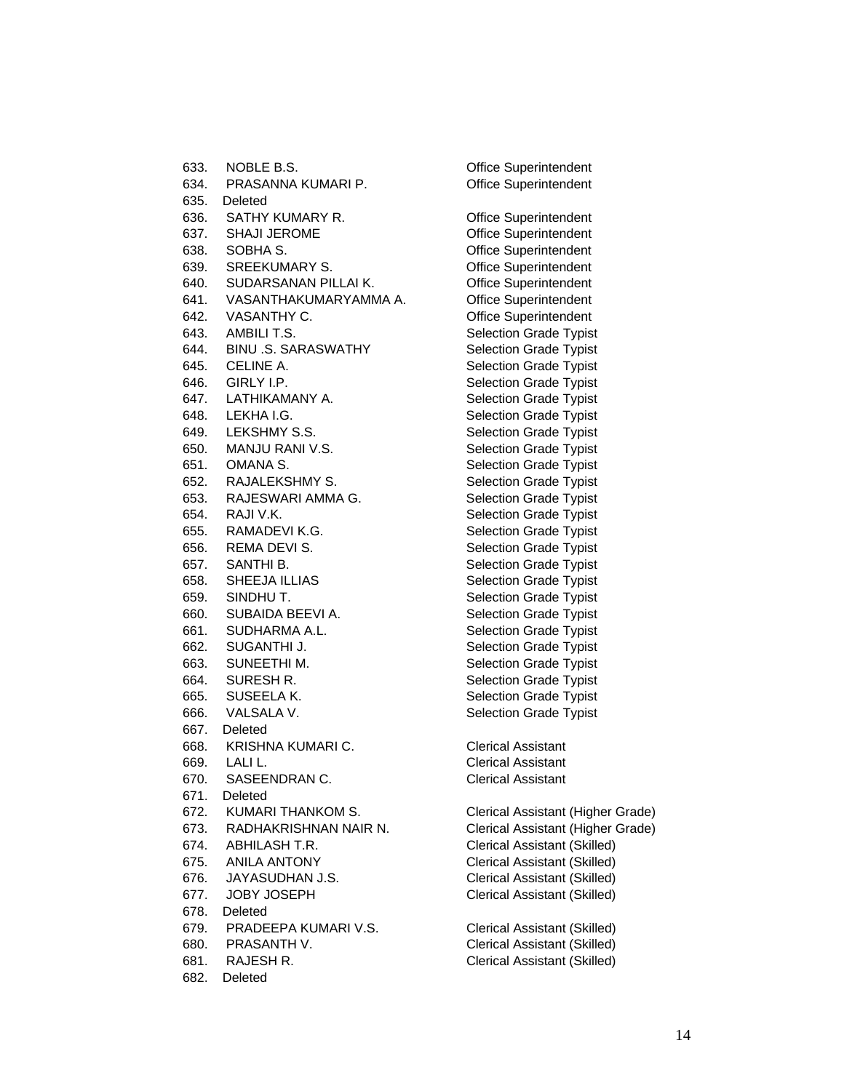| 633. | NOBLE B.S.                |
|------|---------------------------|
| 634. | PRASANNA KUMARI P.        |
| 635. | Deleted                   |
| 636. | SATHY KUMARY R.           |
| 637. | <b>SHAJI JEROME</b>       |
| 638. | SOBHA S.                  |
| 639. | <b>SREEKUMARY S.</b>      |
| 640. | SUDARSANAN PILLAI K.      |
| 641. | VASANTHAKUMARYAMMA A.     |
| 642. | VASANTHY C.               |
| 643. | AMBILI T.S.               |
| 644. | <b>BINU.S. SARASWATHY</b> |
| 645. | CELINE A.                 |
| 646. | GIRLY I.P.                |
| 647. | LATHIKAMANY A.            |
| 648. | LEKHA I.G.                |
| 649. | LEKSHMY S.S.              |
| 650. | MANJU RANI V.S.           |
| 651. | OMANA S.                  |
| 652. | RAJALEKSHMY S.            |
| 653. | RAJESWARI AMMA G.         |
| 654. | RAJI V.K.                 |
| 655. | RAMADEVI K.G.             |
| 656. | REMA DEVI S.              |
| 657. | SANTHI B.                 |
| 658. | SHEEJA ILLIAS             |
| 659. | SINDHU T.                 |
| 660. | SUBAIDA BEEVI A.          |
| 661. | SUDHARMA A.L.             |
| 662. | SUGANTHI J.               |
| 663. | SUNEETHI M.               |
| 664. | SURESH R.                 |
| 665. | SUSEELA K.                |
| 666. | VALSALA V.                |
|      | 667. Deleted              |
| 668. | KRISHNA KUMARI C.         |
| 669. | LALI L.                   |
| 670. | SASEENDRAN C.             |
|      | 671. Deleted              |
| 672. | KUMARI THANKOM S.         |
|      |                           |
| 673. | RADHAKRISHNAN NAIR N.     |
| 674. | ABHILASH T.R.             |
| 675. | ANILA ANTONY              |
| 676. | JAYASUDHAN J.S.           |
| 677. | JOBY JOSEPH               |
| 678. | Deleted                   |
| 679. | PRADEEPA KUMARI V.S.      |
| 680. | PRASANTH V.               |
| 681. | RAJESH R.                 |
|      | 682. Deleted              |

**Office Superintendent Office Superintendent Office Superintendent** Office Superintendent **Office Superintendent Office Superintendent Office Superintendent** Office Superintendent Office Superintendent Selection Grade Typist Selection Grade Typist Selection Grade Typist Selection Grade Typist Selection Grade Typist Selection Grade Typist Selection Grade Typist Selection Grade Typist Selection Grade Typist Selection Grade Typist Selection Grade Typist Selection Grade Typist Selection Grade Typist Selection Grade Typist Selection Grade Typist Selection Grade Typist Selection Grade Typist Selection Grade Typist Selection Grade Typist Selection Grade Typist Selection Grade Typist Selection Grade Typist Selection Grade Typist Selection Grade Typist **Clerical Assistant** Clerical Assistant **Clerical Assistant** Clerical Assistant (Higher Grade) Clerical Assistant (Higher Grade) Clerical Assistant (Skilled) Clerical Assistant (Skilled) Clerical Assistant (Skilled) Clerical Assistant (Skilled)

Clerical Assistant (Skilled) Clerical Assistant (Skilled) Clerical Assistant (Skilled)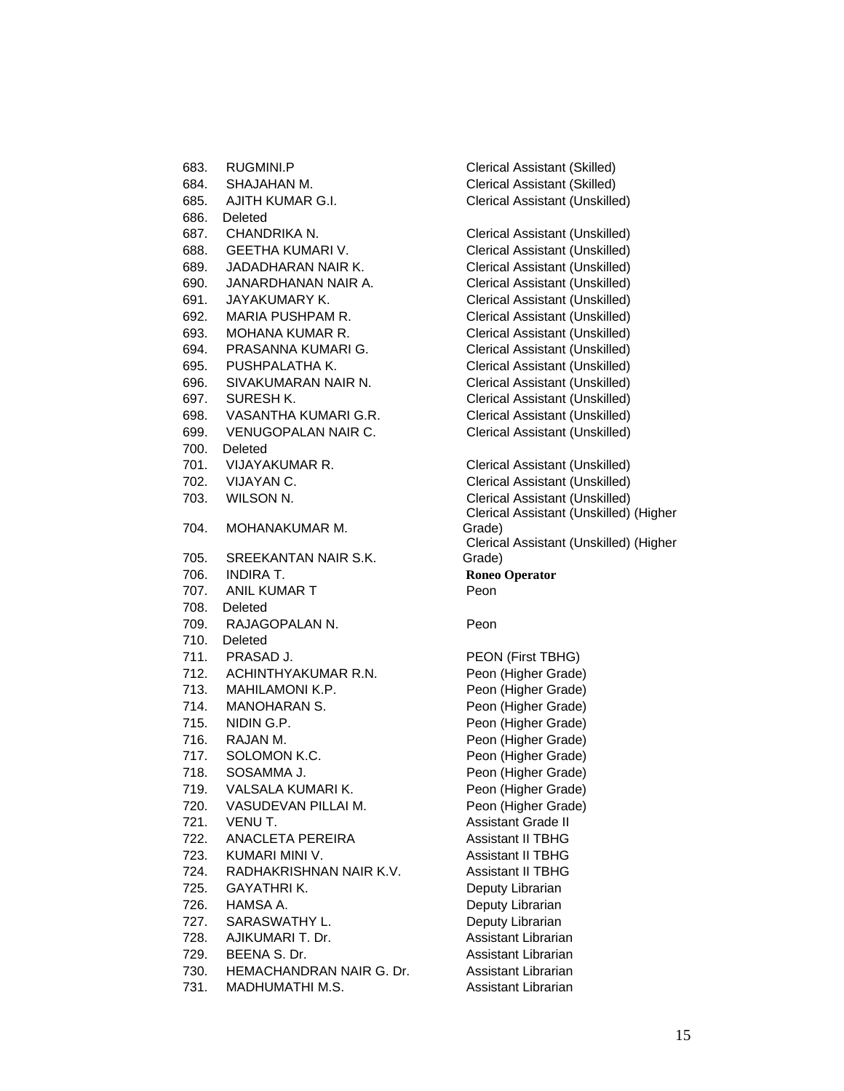| 683. | RUGMINI.P                 | Cleric      |
|------|---------------------------|-------------|
| 684. | SHAJAHAN M.               | Cleric      |
| 685. | AJITH KUMAR G.I.          | Cleric      |
| 686. | Deleted                   |             |
| 687. | CHANDRIKA N.              | Cleric      |
| 688. | <b>GEETHA KUMARI V.</b>   | Cleric      |
| 689. | JADADHARAN NAIR K.        | Cleric      |
| 690. | JANARDHANAN NAIR A.       | Cleric      |
| 691. | JAYAKUMARY K.             | Cleric      |
| 692. | MARIA PUSHPAM R.          | Cleric      |
| 693. | MOHANA KUMAR R.           | Cleric      |
| 694. | PRASANNA KUMARI G.        | Cleric      |
| 695. | PUSHPALATHA K.            | Cleric      |
| 696. | SIVAKUMARAN NAIR N.       | Cleric      |
| 697. | SURESH K.                 | Cleric      |
| 698. | VASANTHA KUMARI G.R.      | Cleric      |
| 699. | VENUGOPALAN NAIR C.       | Cleric      |
| 700. | <b>Deleted</b>            |             |
| 701. | VIJAYAKUMAR R.            | Cleric      |
| 702. | VIJAYAN C.                | Cleric      |
| 703. | WILSON N.                 | Cleric      |
|      |                           | Cleric      |
| 704. | MOHANAKUMAR M.            | Grade       |
|      |                           | Cleric      |
|      | 705. SREEKANTAN NAIR S.K. | Grade       |
|      | 706. INDIRA T.            | Roneo       |
|      | 707. ANIL KUMAR T         | Peon        |
|      | 708. Deleted              |             |
| 709. | RAJAGOPALAN N.            | Peon        |
| 710. | Deleted                   |             |
| 711. | PRASAD J.                 | <b>PEON</b> |
|      | 712. ACHINTHYAKUMAR R.N.  | Peon        |
| 713. | MAHILAMONI K.P.           | Peon        |
| 714. | <b>MANOHARAN S.</b>       | Peon        |
| 715. | NIDIN G.P.                | Peon        |
| 716. | RAJAN M.                  | Peon        |
|      | 717. SOLOMON K.C.         | Peon        |
| 718. | SOSAMMA J.                | Peon        |
| 719. | VALSALA KUMARI K.         | Peon        |
| 720. | VASUDEVAN PILLAI M.       | Peon        |
| 721. | VENU T.                   | Assist      |
| 722. | <b>ANACLETA PEREIRA</b>   | Assist      |
| 723. | KUMARI MINI V.            | Assist      |
| 724. | RADHAKRISHNAN NAIR K.V.   | Assist      |
| 725. | <b>GAYATHRI K.</b>        | Deput       |
| 726. | HAMSA A.                  | Deput       |
| 727. | SARASWATHY L.             | Deput       |
| 728. | AJIKUMARI T. Dr.          | Assist      |
| 729. | BEENA S. Dr.              | Assist      |
| 730. | HEMACHANDRAN NAIR G. Dr.  | Assist      |

731. MADHUMATHI M.S. Assistant Librarian

Clerical Assistant (Skilled) Clerical Assistant (Skilled) Clerical Assistant (Unskilled) Clerical Assistant (Unskilled) **Clerical Assistant (Unskilled)** Clerical Assistant (Unskilled) Clerical Assistant (Unskilled) Clerical Assistant (Unskilled) Clerical Assistant (Unskilled) Clerical Assistant (Unskilled) Clerical Assistant (Unskilled) Clerical Assistant (Unskilled) Clerical Assistant (Unskilled) Clerical Assistant (Unskilled) Clerical Assistant (Unskilled) Clerical Assistant (Unskilled) Clerical Assistant (Unskilled) Clerical Assistant (Unskilled) **Clerical Assistant (Unskilled)**  Clerical Assistant (Unskilled) (Higher Grade) Clerical Assistant (Unskilled) (Higher Grade) **Roneo Operator** 

PEON (First TBHG) Peon (Higher Grade) Peon (Higher Grade) Peon (Higher Grade) Peon (Higher Grade) Peon (Higher Grade) Peon (Higher Grade) Peon (Higher Grade) Peon (Higher Grade) Peon (Higher Grade) **Assistant Grade II Assistant II TBHG Assistant II TBHG** .V. Assistant II TBHG Deputy Librarian Deputy Librarian Deputy Librarian Assistant Librarian Assistant Librarian 5. Dr. **Assistant Librarian**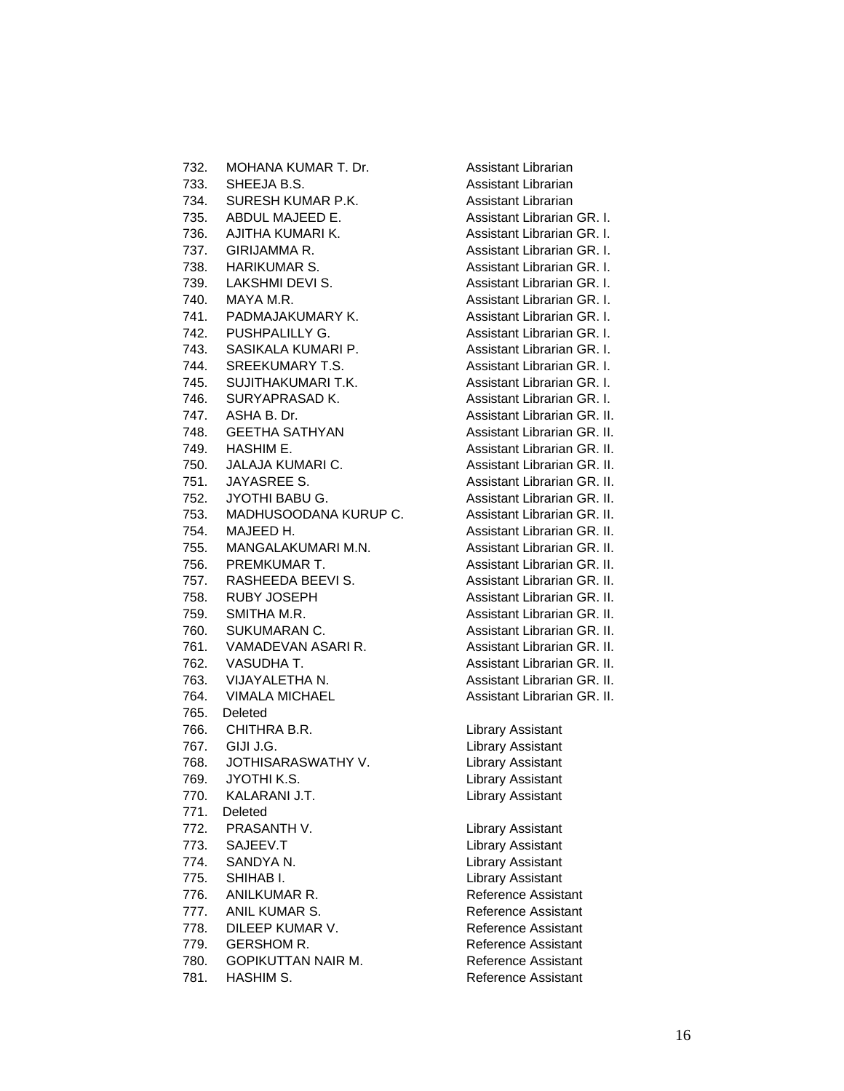732. MOHANA KUMAR T. Dr. **Assistant Librarian** 733. SHEEJA B.S. **Assistant Librarian** 734. SURESH KUMAR P.K. Assistant Librarian 735. ABDUL MAJEED E. Assistant Librarian GR. I. 736. AJITHA KUMARI K. **Alicia ang tanggang pandatang Kabupaten** Assistant Librarian GR. I. 737. GIRIJAMMA R. **And Assistant Librarian GR. I.** Assistant Librarian GR. I. 738. HARIKUMAR S. **Assistant Librarian GR. I.** Assistant Librarian GR. I. 739. LAKSHMI DEVI S. And The Society Assistant Librarian GR. I. 740. MAYA M.R. **Assistant Librarian GR. I.** Assistant Librarian GR. I. 741. PADMAJAKUMARY K. Assistant Librarian GR. I. 742. PUSHPALILLY G. **Assistant Librarian GR. I.** 743. SASIKALA KUMARI P. **ASSISTAN ASSISTANG ASSISTANG ARTI** 744. SREEKUMARY T.S. Assistant Librarian GR. I. 745. SUJITHAKUMARI T.K. Assistant Librarian GR. I. 746. SURYAPRASAD K. Assistant Librarian GR. I. 747. ASHA B. Dr. **Assistant Librarian GR. II.** Assistant Librarian GR. II. 748. GEETHA SATHYAN Assistant Librarian GR. II. 749. HASHIM E. **Assistant Librarian GR. II.** Assistant Librarian GR. II. 750. JALAJA KUMARI C. Assistant Librarian GR. II. 751. JAYASREE S. Assistant Librarian GR. II. 752. JYOTHI BABU G. Assistant Librarian GR. II. 753. MADHUSOODANA KURUP C. Assistant Librarian GR. II. 754. MAJEED H. Assistant Librarian GR. II. 755. MANGALAKUMARI M.N. **Assistant Librarian GR. II.** 756. PREMKUMAR T. Assistant Librarian GR. II. 757. RASHEEDA BEEVI S. Assistant Librarian GR. II. 758. RUBY JOSEPH Assistant Librarian GR. II. 759. SMITHA M.R. **Assistant Librarian GR. II.** 760. SUKUMARAN C. **Assistant Librarian GR. II.** 761. VAMADEVAN ASARI R. **ASSISTAN ASSISTAN Librarian GR. II.** 762. VASUDHA T. Assistant Librarian GR. II. 763. VIJAYALETHA N. Assistant Librarian GR. II. 764. VIMALA MICHAEL **Assistant Librarian GR. II.** 765. Deleted 766. CHITHRA B.R. Library Assistant 767. GIJI J.G. Library Assistant 768. JOTHISARASWATHY V. Library Assistant 769. JYOTHI K.S. Library Assistant 770. KALARANI J.T. **Library Assistant** 771. Deleted 772. PRASANTH V. Library Assistant 773. SAJEEV.T Library Assistant 774. SANDYA N. Library Assistant 775. SHIHAB I. Library Assistant 776. ANILKUMAR R. Reference Assistant 777. ANIL KUMAR S. Reference Assistant 778. DILEEP KUMAR V. CHART Reference Assistant 779. GERSHOM R. Reference Assistant 780. GOPIKUTTAN NAIR M. Reference Assistant **781.** HASHIM S. **Reference Assistant** 

16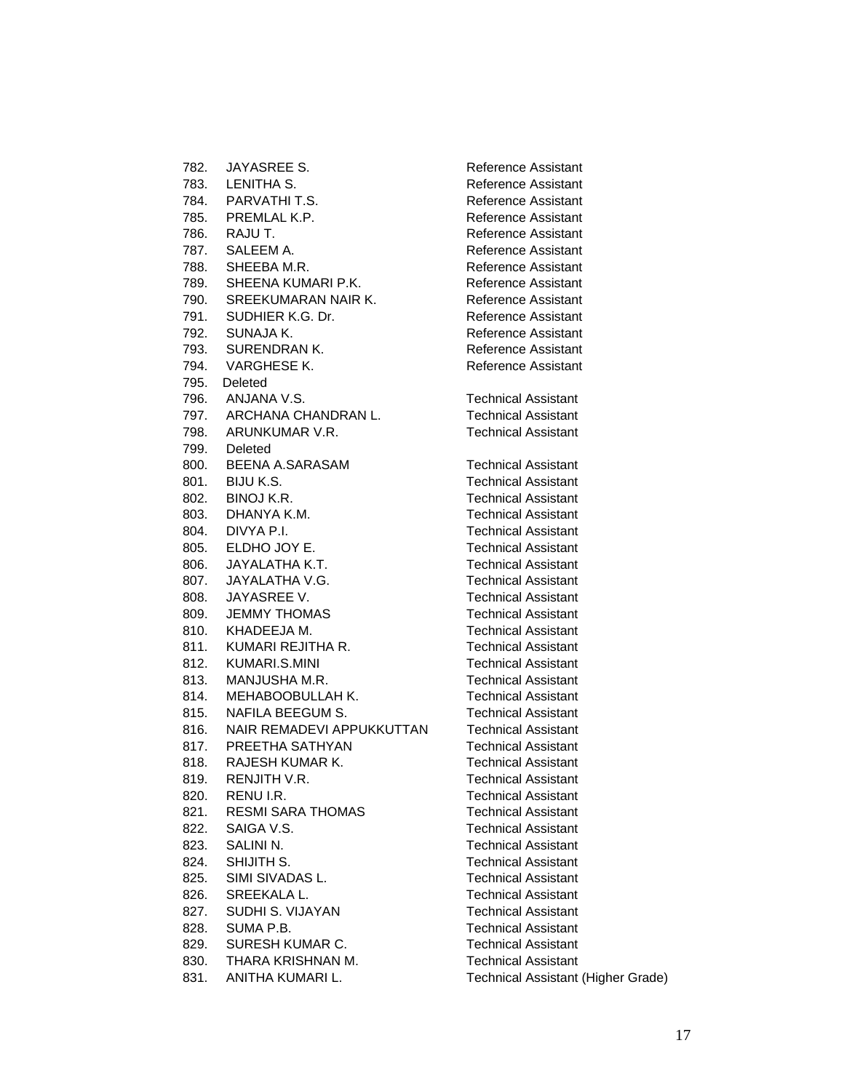| 782. | JAYASREE S.               | Reference Assistant                |
|------|---------------------------|------------------------------------|
| 783. | LENITHA S.                | Reference Assistant                |
| 784. | PARVATHIT.S.              | Reference Assistant                |
| 785. | PREMLAL K.P.              | Reference Assistant                |
| 786. | RAJU T.                   | Reference Assistant                |
| 787. | SALEEM A.                 | Reference Assistant                |
| 788. | SHEEBA M.R.               | Reference Assistant                |
| 789. | SHEENA KUMARI P.K.        | Reference Assistant                |
| 790. | SREEKUMARAN NAIR K.       | Reference Assistant                |
| 791. | SUDHIER K.G. Dr.          | Reference Assistant                |
| 792. | SUNAJA K.                 | Reference Assistant                |
| 793. | SURENDRAN K.              | Reference Assistant                |
| 794. | VARGHESE K.               | Reference Assistant                |
| 795. | Deleted                   |                                    |
| 796. | ANJANA V.S.               | Technical Assistant                |
| 797. | ARCHANA CHANDRAN L.       | <b>Technical Assistant</b>         |
| 798. | ARUNKUMAR V.R.            | <b>Technical Assistant</b>         |
| 799. | Deleted                   |                                    |
| 800. | <b>BEENA A.SARASAM</b>    | Technical Assistant                |
| 801. | BIJU K.S.                 | <b>Technical Assistant</b>         |
| 802. | BINOJ K.R.                | <b>Technical Assistant</b>         |
| 803. | DHANYA K.M.               | <b>Technical Assistant</b>         |
| 804. | DIVYA P.I.                | <b>Technical Assistant</b>         |
| 805. | ELDHO JOY E.              | <b>Technical Assistant</b>         |
| 806. | JAYALATHA K.T.            | <b>Technical Assistant</b>         |
| 807. | JAYALATHA V.G.            | <b>Technical Assistant</b>         |
| 808. | JAYASREE V.               | <b>Technical Assistant</b>         |
| 809. | <b>JEMMY THOMAS</b>       | <b>Technical Assistant</b>         |
| 810. | KHADEEJA M.               | <b>Technical Assistant</b>         |
| 811. | KUMARI REJITHA R.         | <b>Technical Assistant</b>         |
| 812. | KUMARI.S.MINI             | <b>Technical Assistant</b>         |
| 813. | MANJUSHA M.R.             | <b>Technical Assistant</b>         |
| 814. | MEHABOOBULLAH K.          | <b>Technical Assistant</b>         |
| 815. | NAFILA BEEGUM S.          | <b>Technical Assistant</b>         |
| 816. | NAIR REMADEVI APPUKKUTTAN | <b>Technical Assistant</b>         |
| 817. | PREETHA SATHYAN           | <b>Technical Assistant</b>         |
| 818. | RAJESH KUMAR K.           | <b>Technical Assistant</b>         |
| 819. | RENJITH V.R.              | <b>Technical Assistant</b>         |
| 820. | RENU I.R.                 | <b>Technical Assistant</b>         |
| 821. | <b>RESMI SARA THOMAS</b>  | <b>Technical Assistant</b>         |
| 822. | SAIGA V.S.                | <b>Technical Assistant</b>         |
| 823. | SALINI N.                 | <b>Technical Assistant</b>         |
| 824. | SHIJITH S.                | <b>Technical Assistant</b>         |
| 825. | SIMI SIVADAS L.           | <b>Technical Assistant</b>         |
| 826. | SREEKALA L.               | <b>Technical Assistant</b>         |
| 827. | SUDHI S. VIJAYAN          | <b>Technical Assistant</b>         |
| 828. | SUMA P.B.                 | <b>Technical Assistant</b>         |
| 829. | SURESH KUMAR C.           | <b>Technical Assistant</b>         |
| 830. | THARA KRISHNAN M.         | <b>Technical Assistant</b>         |
| 831. | ANITHA KUMARI L.          | Technical Assistant (Higher Grade) |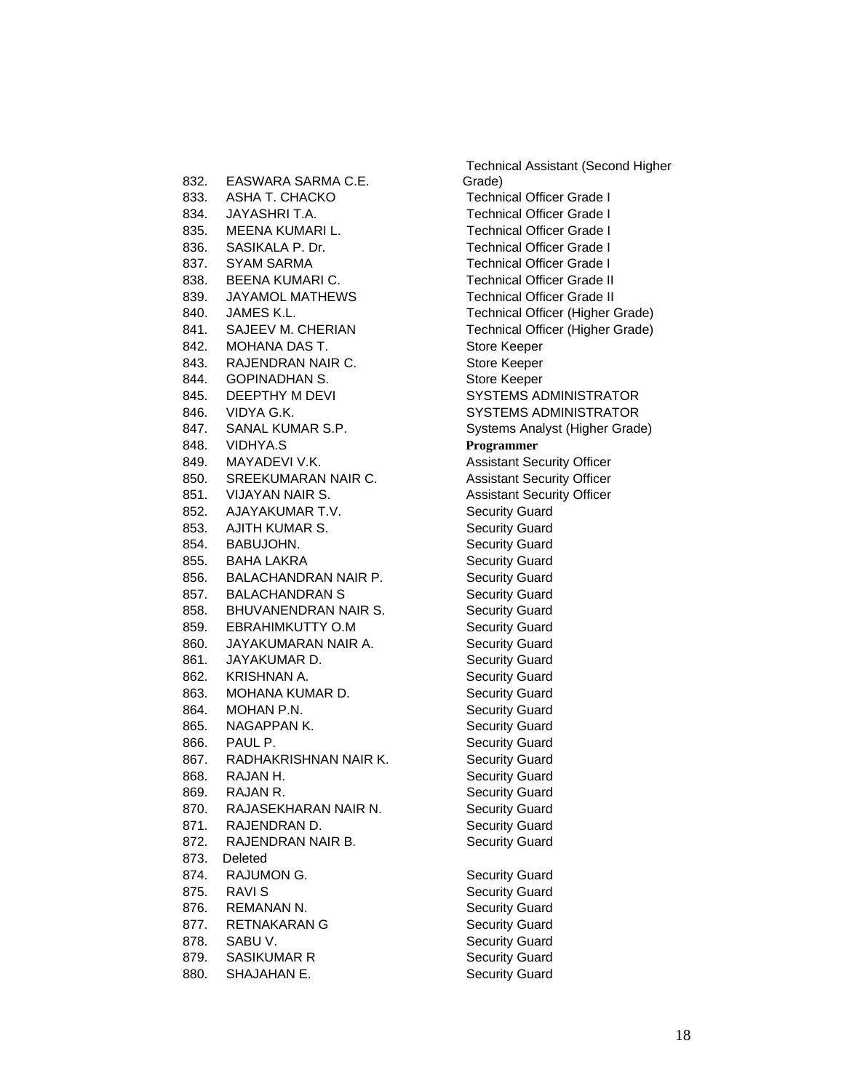832. EASWARA SARMA C.E. 833. ASHA T. CHACKO Technical Officer Grade I 834. JAYASHRI T.A. Technical Officer Grade I 835. MEENA KUMARI L. Technical Officer Grade I 836. SASIKALA P. Dr. Technical Officer Grade I 837. SYAM SARMA Technical Officer Grade I 838. BEENA KUMARI C. The Commission of Technical Officer Grade II 839. JAYAMOL MATHEWS Technical Officer Grade II 840. JAMES K.L. Technical Officer (Higher Grade) 841. SAJEEV M. CHERIAN Technical Officer (Higher Grade) 842. MOHANA DAS T. Store Keeper 843. RAJENDRAN NAIR C. Store Keeper 844. GOPINADHAN S. Store Keeper 845. DEEPTHY M DEVI SYSTEMS ADMINISTRATOR 846. VIDYA G.K. SALL SYSTEMS ADMINISTRATOR 847. SANAL KUMAR S.P. Systems Analyst (Higher Grade) 848. VIDHYA.S **Programmer**  849. MAYADEVI V.K. **Assistant Security Officer** 850. SREEKUMARAN NAIR C. <br>Assistant Security Officer 851. VIJAYAN NAIR S. **Assistant Security Officer** 852. AJAYAKUMAR T.V. Security Guard 853. AJITH KUMAR S. Security Guard 854. BABUJOHN. Security Guard 855. BAHA LAKRA Security Guard 856. BALACHANDRAN NAIR P. Security Guard 857. BALACHANDRAN S Security Guard 858. BHUVANENDRAN NAIR S. Security Guard 859. EBRAHIMKUTTY O.M Security Guard 860. JAYAKUMARAN NAIR A. Security Guard 861. JAYAKUMAR D. Security Guard 862. KRISHNAN A. Security Guard 863. MOHANA KUMAR D. Security Guard 864. MOHAN P.N. Security Guard 865. NAGAPPAN K. Security Guard 866. PAUL P. Security Guard 867. RADHAKRISHNAN NAIR K. Security Guard 868. RAJAN H. Security Guard 869. RAJAN R. Security Guard 870. RAJASEKHARAN NAIR N. Security Guard 871. RAJENDRAN D. Security Guard 872. RAJENDRAN NAIR B. Security Guard 873. Deleted 874. RAJUMON G. Security Guard 875. RAVI S Security Guard 876. REMANAN N. Security Guard 877. RETNAKARAN G Security Guard 878. SABU V. San Security Guard Security Guard 879. SASIKUMAR R Security Guard 880. SHAJAHAN E. San Security Guard

 Technical Assistant (Second Higher Grade)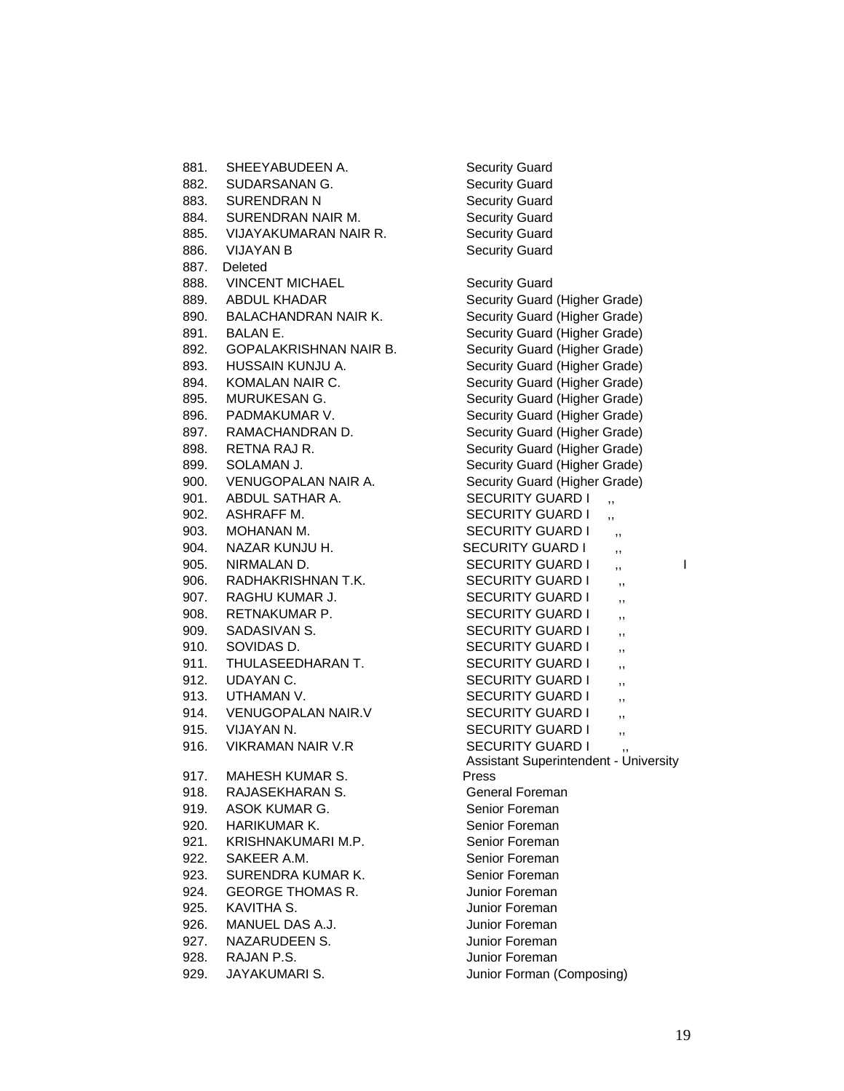| SUDARSANAN G.<br><b>Security Guard</b><br><b>SURENDRAN N</b><br><b>Security Guard</b><br><b>Security Guard</b><br>SURENDRAN NAIR M.<br><b>Security Guard</b><br>VIJAYAKUMARAN NAIR R.<br><b>Security Guard</b><br><b>VIJAYAN B</b><br>Deleted<br><b>VINCENT MICHAEL</b><br><b>Security Guard</b><br>Security Guard (Higher Grade)<br><b>ABDUL KHADAR</b><br>BALACHANDRAN NAIR K.<br>Security Guard (Higher Grade)<br><b>BALANE.</b><br>Security Guard (Higher Grade)<br>GOPALAKRISHNAN NAIR B.<br>Security Guard (Higher Grade)<br>893.<br>Security Guard (Higher Grade)<br>HUSSAIN KUNJU A.<br>894.<br>KOMALAN NAIR C.<br>Security Guard (Higher Grade)<br>Security Guard (Higher Grade)<br>MURUKESAN G.<br>896.<br>Security Guard (Higher Grade)<br>PADMAKUMAR V.<br>897.<br>Security Guard (Higher Grade)<br>RAMACHANDRAN D.<br>898.<br>Security Guard (Higher Grade)<br>RETNA RAJ R.<br>Security Guard (Higher Grade)<br>899.<br>SOLAMAN J.<br>900.<br>Security Guard (Higher Grade)<br>VENUGOPALAN NAIR A.<br>901.<br>ABDUL SATHAR A.<br><b>SECURITY GUARD I</b><br>,,<br>902.<br>ASHRAFF M.<br><b>SECURITY GUARD I</b><br>,,<br>903.<br>MOHANAN M.<br><b>SECURITY GUARD I</b><br>,,<br>904.<br>NAZAR KUNJU H.<br><b>SECURITY GUARD I</b><br>,,<br>905.<br>NIRMALAN D.<br><b>SECURITY GUARD I</b><br>L<br>,,<br>906.<br><b>SECURITY GUARD I</b><br>RADHAKRISHNAN T.K.<br>,,<br>907.<br><b>SECURITY GUARD I</b><br>RAGHU KUMAR J.<br>,,<br>908.<br><b>SECURITY GUARD I</b><br>RETNAKUMAR P.<br>,,<br>909.<br>SADASIVAN S.<br><b>SECURITY GUARD I</b><br>,,<br>910.<br>SOVIDAS D.<br><b>SECURITY GUARD I</b><br>,,<br><b>SECURITY GUARD I</b><br>911.<br>THULASEEDHARAN T.<br>,,<br>UDAYAN C.<br><b>SECURITY GUARD I</b><br>912.<br>,,<br><b>SECURITY GUARD I</b><br>913.<br>UTHAMAN V.<br>,,<br><b>SECURITY GUARD I</b><br>914.<br><b>VENUGOPALAN NAIR.V</b><br>,,<br>915.<br><b>VIJAYAN N.</b><br><b>SECURITY GUARD I</b><br>,,<br><b>SECURITY GUARD I</b><br>916.<br><b>VIKRAMAN NAIR V.R</b><br><b>Assistant Superintendent - University</b><br>MAHESH KUMAR S.<br>Press<br>RAJASEKHARAN S.<br>General Foreman<br>919.<br>ASOK KUMAR G.<br>Senior Foreman<br>920.<br><b>HARIKUMAR K.</b><br>Senior Foreman<br>921.<br>KRISHNAKUMARI M.P.<br>Senior Foreman<br>922.<br>SAKEER A.M.<br>Senior Foreman<br>923.<br>SURENDRA KUMAR K.<br>Senior Foreman<br>924.<br><b>GEORGE THOMAS R.</b><br>Junior Foreman<br>925.<br>KAVITHA S.<br>Junior Foreman<br>926.<br>MANUEL DAS A.J.<br>Junior Foreman<br>927.<br>Junior Foreman<br>NAZARUDEEN S.<br>928.<br>RAJAN P.S.<br>Junior Foreman<br>929.<br>Junior Forman (Composing)<br>JAYAKUMARI S. | 881. | SHEEYABUDEEN A. | <b>Security Guard</b> |
|----------------------------------------------------------------------------------------------------------------------------------------------------------------------------------------------------------------------------------------------------------------------------------------------------------------------------------------------------------------------------------------------------------------------------------------------------------------------------------------------------------------------------------------------------------------------------------------------------------------------------------------------------------------------------------------------------------------------------------------------------------------------------------------------------------------------------------------------------------------------------------------------------------------------------------------------------------------------------------------------------------------------------------------------------------------------------------------------------------------------------------------------------------------------------------------------------------------------------------------------------------------------------------------------------------------------------------------------------------------------------------------------------------------------------------------------------------------------------------------------------------------------------------------------------------------------------------------------------------------------------------------------------------------------------------------------------------------------------------------------------------------------------------------------------------------------------------------------------------------------------------------------------------------------------------------------------------------------------------------------------------------------------------------------------------------------------------------------------------------------------------------------------------------------------------------------------------------------------------------------------------------------------------------------------------------------------------------------------------------------------------------------------------------------------------------------------------------------------------------------------------------------------------------------------------------------------------------------------------------------------------------------|------|-----------------|-----------------------|
|                                                                                                                                                                                                                                                                                                                                                                                                                                                                                                                                                                                                                                                                                                                                                                                                                                                                                                                                                                                                                                                                                                                                                                                                                                                                                                                                                                                                                                                                                                                                                                                                                                                                                                                                                                                                                                                                                                                                                                                                                                                                                                                                                                                                                                                                                                                                                                                                                                                                                                                                                                                                                                              | 882. |                 |                       |
|                                                                                                                                                                                                                                                                                                                                                                                                                                                                                                                                                                                                                                                                                                                                                                                                                                                                                                                                                                                                                                                                                                                                                                                                                                                                                                                                                                                                                                                                                                                                                                                                                                                                                                                                                                                                                                                                                                                                                                                                                                                                                                                                                                                                                                                                                                                                                                                                                                                                                                                                                                                                                                              | 883. |                 |                       |
|                                                                                                                                                                                                                                                                                                                                                                                                                                                                                                                                                                                                                                                                                                                                                                                                                                                                                                                                                                                                                                                                                                                                                                                                                                                                                                                                                                                                                                                                                                                                                                                                                                                                                                                                                                                                                                                                                                                                                                                                                                                                                                                                                                                                                                                                                                                                                                                                                                                                                                                                                                                                                                              | 884. |                 |                       |
|                                                                                                                                                                                                                                                                                                                                                                                                                                                                                                                                                                                                                                                                                                                                                                                                                                                                                                                                                                                                                                                                                                                                                                                                                                                                                                                                                                                                                                                                                                                                                                                                                                                                                                                                                                                                                                                                                                                                                                                                                                                                                                                                                                                                                                                                                                                                                                                                                                                                                                                                                                                                                                              | 885. |                 |                       |
|                                                                                                                                                                                                                                                                                                                                                                                                                                                                                                                                                                                                                                                                                                                                                                                                                                                                                                                                                                                                                                                                                                                                                                                                                                                                                                                                                                                                                                                                                                                                                                                                                                                                                                                                                                                                                                                                                                                                                                                                                                                                                                                                                                                                                                                                                                                                                                                                                                                                                                                                                                                                                                              | 886. |                 |                       |
|                                                                                                                                                                                                                                                                                                                                                                                                                                                                                                                                                                                                                                                                                                                                                                                                                                                                                                                                                                                                                                                                                                                                                                                                                                                                                                                                                                                                                                                                                                                                                                                                                                                                                                                                                                                                                                                                                                                                                                                                                                                                                                                                                                                                                                                                                                                                                                                                                                                                                                                                                                                                                                              | 887. |                 |                       |
|                                                                                                                                                                                                                                                                                                                                                                                                                                                                                                                                                                                                                                                                                                                                                                                                                                                                                                                                                                                                                                                                                                                                                                                                                                                                                                                                                                                                                                                                                                                                                                                                                                                                                                                                                                                                                                                                                                                                                                                                                                                                                                                                                                                                                                                                                                                                                                                                                                                                                                                                                                                                                                              | 888. |                 |                       |
|                                                                                                                                                                                                                                                                                                                                                                                                                                                                                                                                                                                                                                                                                                                                                                                                                                                                                                                                                                                                                                                                                                                                                                                                                                                                                                                                                                                                                                                                                                                                                                                                                                                                                                                                                                                                                                                                                                                                                                                                                                                                                                                                                                                                                                                                                                                                                                                                                                                                                                                                                                                                                                              | 889. |                 |                       |
|                                                                                                                                                                                                                                                                                                                                                                                                                                                                                                                                                                                                                                                                                                                                                                                                                                                                                                                                                                                                                                                                                                                                                                                                                                                                                                                                                                                                                                                                                                                                                                                                                                                                                                                                                                                                                                                                                                                                                                                                                                                                                                                                                                                                                                                                                                                                                                                                                                                                                                                                                                                                                                              | 890. |                 |                       |
|                                                                                                                                                                                                                                                                                                                                                                                                                                                                                                                                                                                                                                                                                                                                                                                                                                                                                                                                                                                                                                                                                                                                                                                                                                                                                                                                                                                                                                                                                                                                                                                                                                                                                                                                                                                                                                                                                                                                                                                                                                                                                                                                                                                                                                                                                                                                                                                                                                                                                                                                                                                                                                              | 891. |                 |                       |
|                                                                                                                                                                                                                                                                                                                                                                                                                                                                                                                                                                                                                                                                                                                                                                                                                                                                                                                                                                                                                                                                                                                                                                                                                                                                                                                                                                                                                                                                                                                                                                                                                                                                                                                                                                                                                                                                                                                                                                                                                                                                                                                                                                                                                                                                                                                                                                                                                                                                                                                                                                                                                                              | 892. |                 |                       |
|                                                                                                                                                                                                                                                                                                                                                                                                                                                                                                                                                                                                                                                                                                                                                                                                                                                                                                                                                                                                                                                                                                                                                                                                                                                                                                                                                                                                                                                                                                                                                                                                                                                                                                                                                                                                                                                                                                                                                                                                                                                                                                                                                                                                                                                                                                                                                                                                                                                                                                                                                                                                                                              |      |                 |                       |
|                                                                                                                                                                                                                                                                                                                                                                                                                                                                                                                                                                                                                                                                                                                                                                                                                                                                                                                                                                                                                                                                                                                                                                                                                                                                                                                                                                                                                                                                                                                                                                                                                                                                                                                                                                                                                                                                                                                                                                                                                                                                                                                                                                                                                                                                                                                                                                                                                                                                                                                                                                                                                                              |      |                 |                       |
|                                                                                                                                                                                                                                                                                                                                                                                                                                                                                                                                                                                                                                                                                                                                                                                                                                                                                                                                                                                                                                                                                                                                                                                                                                                                                                                                                                                                                                                                                                                                                                                                                                                                                                                                                                                                                                                                                                                                                                                                                                                                                                                                                                                                                                                                                                                                                                                                                                                                                                                                                                                                                                              | 895. |                 |                       |
|                                                                                                                                                                                                                                                                                                                                                                                                                                                                                                                                                                                                                                                                                                                                                                                                                                                                                                                                                                                                                                                                                                                                                                                                                                                                                                                                                                                                                                                                                                                                                                                                                                                                                                                                                                                                                                                                                                                                                                                                                                                                                                                                                                                                                                                                                                                                                                                                                                                                                                                                                                                                                                              |      |                 |                       |
|                                                                                                                                                                                                                                                                                                                                                                                                                                                                                                                                                                                                                                                                                                                                                                                                                                                                                                                                                                                                                                                                                                                                                                                                                                                                                                                                                                                                                                                                                                                                                                                                                                                                                                                                                                                                                                                                                                                                                                                                                                                                                                                                                                                                                                                                                                                                                                                                                                                                                                                                                                                                                                              |      |                 |                       |
|                                                                                                                                                                                                                                                                                                                                                                                                                                                                                                                                                                                                                                                                                                                                                                                                                                                                                                                                                                                                                                                                                                                                                                                                                                                                                                                                                                                                                                                                                                                                                                                                                                                                                                                                                                                                                                                                                                                                                                                                                                                                                                                                                                                                                                                                                                                                                                                                                                                                                                                                                                                                                                              |      |                 |                       |
|                                                                                                                                                                                                                                                                                                                                                                                                                                                                                                                                                                                                                                                                                                                                                                                                                                                                                                                                                                                                                                                                                                                                                                                                                                                                                                                                                                                                                                                                                                                                                                                                                                                                                                                                                                                                                                                                                                                                                                                                                                                                                                                                                                                                                                                                                                                                                                                                                                                                                                                                                                                                                                              |      |                 |                       |
|                                                                                                                                                                                                                                                                                                                                                                                                                                                                                                                                                                                                                                                                                                                                                                                                                                                                                                                                                                                                                                                                                                                                                                                                                                                                                                                                                                                                                                                                                                                                                                                                                                                                                                                                                                                                                                                                                                                                                                                                                                                                                                                                                                                                                                                                                                                                                                                                                                                                                                                                                                                                                                              |      |                 |                       |
|                                                                                                                                                                                                                                                                                                                                                                                                                                                                                                                                                                                                                                                                                                                                                                                                                                                                                                                                                                                                                                                                                                                                                                                                                                                                                                                                                                                                                                                                                                                                                                                                                                                                                                                                                                                                                                                                                                                                                                                                                                                                                                                                                                                                                                                                                                                                                                                                                                                                                                                                                                                                                                              |      |                 |                       |
|                                                                                                                                                                                                                                                                                                                                                                                                                                                                                                                                                                                                                                                                                                                                                                                                                                                                                                                                                                                                                                                                                                                                                                                                                                                                                                                                                                                                                                                                                                                                                                                                                                                                                                                                                                                                                                                                                                                                                                                                                                                                                                                                                                                                                                                                                                                                                                                                                                                                                                                                                                                                                                              |      |                 |                       |
|                                                                                                                                                                                                                                                                                                                                                                                                                                                                                                                                                                                                                                                                                                                                                                                                                                                                                                                                                                                                                                                                                                                                                                                                                                                                                                                                                                                                                                                                                                                                                                                                                                                                                                                                                                                                                                                                                                                                                                                                                                                                                                                                                                                                                                                                                                                                                                                                                                                                                                                                                                                                                                              |      |                 |                       |
|                                                                                                                                                                                                                                                                                                                                                                                                                                                                                                                                                                                                                                                                                                                                                                                                                                                                                                                                                                                                                                                                                                                                                                                                                                                                                                                                                                                                                                                                                                                                                                                                                                                                                                                                                                                                                                                                                                                                                                                                                                                                                                                                                                                                                                                                                                                                                                                                                                                                                                                                                                                                                                              |      |                 |                       |
|                                                                                                                                                                                                                                                                                                                                                                                                                                                                                                                                                                                                                                                                                                                                                                                                                                                                                                                                                                                                                                                                                                                                                                                                                                                                                                                                                                                                                                                                                                                                                                                                                                                                                                                                                                                                                                                                                                                                                                                                                                                                                                                                                                                                                                                                                                                                                                                                                                                                                                                                                                                                                                              |      |                 |                       |
|                                                                                                                                                                                                                                                                                                                                                                                                                                                                                                                                                                                                                                                                                                                                                                                                                                                                                                                                                                                                                                                                                                                                                                                                                                                                                                                                                                                                                                                                                                                                                                                                                                                                                                                                                                                                                                                                                                                                                                                                                                                                                                                                                                                                                                                                                                                                                                                                                                                                                                                                                                                                                                              |      |                 |                       |
|                                                                                                                                                                                                                                                                                                                                                                                                                                                                                                                                                                                                                                                                                                                                                                                                                                                                                                                                                                                                                                                                                                                                                                                                                                                                                                                                                                                                                                                                                                                                                                                                                                                                                                                                                                                                                                                                                                                                                                                                                                                                                                                                                                                                                                                                                                                                                                                                                                                                                                                                                                                                                                              |      |                 |                       |
|                                                                                                                                                                                                                                                                                                                                                                                                                                                                                                                                                                                                                                                                                                                                                                                                                                                                                                                                                                                                                                                                                                                                                                                                                                                                                                                                                                                                                                                                                                                                                                                                                                                                                                                                                                                                                                                                                                                                                                                                                                                                                                                                                                                                                                                                                                                                                                                                                                                                                                                                                                                                                                              |      |                 |                       |
|                                                                                                                                                                                                                                                                                                                                                                                                                                                                                                                                                                                                                                                                                                                                                                                                                                                                                                                                                                                                                                                                                                                                                                                                                                                                                                                                                                                                                                                                                                                                                                                                                                                                                                                                                                                                                                                                                                                                                                                                                                                                                                                                                                                                                                                                                                                                                                                                                                                                                                                                                                                                                                              |      |                 |                       |
|                                                                                                                                                                                                                                                                                                                                                                                                                                                                                                                                                                                                                                                                                                                                                                                                                                                                                                                                                                                                                                                                                                                                                                                                                                                                                                                                                                                                                                                                                                                                                                                                                                                                                                                                                                                                                                                                                                                                                                                                                                                                                                                                                                                                                                                                                                                                                                                                                                                                                                                                                                                                                                              |      |                 |                       |
|                                                                                                                                                                                                                                                                                                                                                                                                                                                                                                                                                                                                                                                                                                                                                                                                                                                                                                                                                                                                                                                                                                                                                                                                                                                                                                                                                                                                                                                                                                                                                                                                                                                                                                                                                                                                                                                                                                                                                                                                                                                                                                                                                                                                                                                                                                                                                                                                                                                                                                                                                                                                                                              |      |                 |                       |
|                                                                                                                                                                                                                                                                                                                                                                                                                                                                                                                                                                                                                                                                                                                                                                                                                                                                                                                                                                                                                                                                                                                                                                                                                                                                                                                                                                                                                                                                                                                                                                                                                                                                                                                                                                                                                                                                                                                                                                                                                                                                                                                                                                                                                                                                                                                                                                                                                                                                                                                                                                                                                                              |      |                 |                       |
|                                                                                                                                                                                                                                                                                                                                                                                                                                                                                                                                                                                                                                                                                                                                                                                                                                                                                                                                                                                                                                                                                                                                                                                                                                                                                                                                                                                                                                                                                                                                                                                                                                                                                                                                                                                                                                                                                                                                                                                                                                                                                                                                                                                                                                                                                                                                                                                                                                                                                                                                                                                                                                              |      |                 |                       |
|                                                                                                                                                                                                                                                                                                                                                                                                                                                                                                                                                                                                                                                                                                                                                                                                                                                                                                                                                                                                                                                                                                                                                                                                                                                                                                                                                                                                                                                                                                                                                                                                                                                                                                                                                                                                                                                                                                                                                                                                                                                                                                                                                                                                                                                                                                                                                                                                                                                                                                                                                                                                                                              |      |                 |                       |
|                                                                                                                                                                                                                                                                                                                                                                                                                                                                                                                                                                                                                                                                                                                                                                                                                                                                                                                                                                                                                                                                                                                                                                                                                                                                                                                                                                                                                                                                                                                                                                                                                                                                                                                                                                                                                                                                                                                                                                                                                                                                                                                                                                                                                                                                                                                                                                                                                                                                                                                                                                                                                                              |      |                 |                       |
|                                                                                                                                                                                                                                                                                                                                                                                                                                                                                                                                                                                                                                                                                                                                                                                                                                                                                                                                                                                                                                                                                                                                                                                                                                                                                                                                                                                                                                                                                                                                                                                                                                                                                                                                                                                                                                                                                                                                                                                                                                                                                                                                                                                                                                                                                                                                                                                                                                                                                                                                                                                                                                              |      |                 |                       |
|                                                                                                                                                                                                                                                                                                                                                                                                                                                                                                                                                                                                                                                                                                                                                                                                                                                                                                                                                                                                                                                                                                                                                                                                                                                                                                                                                                                                                                                                                                                                                                                                                                                                                                                                                                                                                                                                                                                                                                                                                                                                                                                                                                                                                                                                                                                                                                                                                                                                                                                                                                                                                                              |      |                 |                       |
|                                                                                                                                                                                                                                                                                                                                                                                                                                                                                                                                                                                                                                                                                                                                                                                                                                                                                                                                                                                                                                                                                                                                                                                                                                                                                                                                                                                                                                                                                                                                                                                                                                                                                                                                                                                                                                                                                                                                                                                                                                                                                                                                                                                                                                                                                                                                                                                                                                                                                                                                                                                                                                              | 917. |                 |                       |
|                                                                                                                                                                                                                                                                                                                                                                                                                                                                                                                                                                                                                                                                                                                                                                                                                                                                                                                                                                                                                                                                                                                                                                                                                                                                                                                                                                                                                                                                                                                                                                                                                                                                                                                                                                                                                                                                                                                                                                                                                                                                                                                                                                                                                                                                                                                                                                                                                                                                                                                                                                                                                                              | 918. |                 |                       |
|                                                                                                                                                                                                                                                                                                                                                                                                                                                                                                                                                                                                                                                                                                                                                                                                                                                                                                                                                                                                                                                                                                                                                                                                                                                                                                                                                                                                                                                                                                                                                                                                                                                                                                                                                                                                                                                                                                                                                                                                                                                                                                                                                                                                                                                                                                                                                                                                                                                                                                                                                                                                                                              |      |                 |                       |
|                                                                                                                                                                                                                                                                                                                                                                                                                                                                                                                                                                                                                                                                                                                                                                                                                                                                                                                                                                                                                                                                                                                                                                                                                                                                                                                                                                                                                                                                                                                                                                                                                                                                                                                                                                                                                                                                                                                                                                                                                                                                                                                                                                                                                                                                                                                                                                                                                                                                                                                                                                                                                                              |      |                 |                       |
|                                                                                                                                                                                                                                                                                                                                                                                                                                                                                                                                                                                                                                                                                                                                                                                                                                                                                                                                                                                                                                                                                                                                                                                                                                                                                                                                                                                                                                                                                                                                                                                                                                                                                                                                                                                                                                                                                                                                                                                                                                                                                                                                                                                                                                                                                                                                                                                                                                                                                                                                                                                                                                              |      |                 |                       |
|                                                                                                                                                                                                                                                                                                                                                                                                                                                                                                                                                                                                                                                                                                                                                                                                                                                                                                                                                                                                                                                                                                                                                                                                                                                                                                                                                                                                                                                                                                                                                                                                                                                                                                                                                                                                                                                                                                                                                                                                                                                                                                                                                                                                                                                                                                                                                                                                                                                                                                                                                                                                                                              |      |                 |                       |
|                                                                                                                                                                                                                                                                                                                                                                                                                                                                                                                                                                                                                                                                                                                                                                                                                                                                                                                                                                                                                                                                                                                                                                                                                                                                                                                                                                                                                                                                                                                                                                                                                                                                                                                                                                                                                                                                                                                                                                                                                                                                                                                                                                                                                                                                                                                                                                                                                                                                                                                                                                                                                                              |      |                 |                       |
|                                                                                                                                                                                                                                                                                                                                                                                                                                                                                                                                                                                                                                                                                                                                                                                                                                                                                                                                                                                                                                                                                                                                                                                                                                                                                                                                                                                                                                                                                                                                                                                                                                                                                                                                                                                                                                                                                                                                                                                                                                                                                                                                                                                                                                                                                                                                                                                                                                                                                                                                                                                                                                              |      |                 |                       |
|                                                                                                                                                                                                                                                                                                                                                                                                                                                                                                                                                                                                                                                                                                                                                                                                                                                                                                                                                                                                                                                                                                                                                                                                                                                                                                                                                                                                                                                                                                                                                                                                                                                                                                                                                                                                                                                                                                                                                                                                                                                                                                                                                                                                                                                                                                                                                                                                                                                                                                                                                                                                                                              |      |                 |                       |
|                                                                                                                                                                                                                                                                                                                                                                                                                                                                                                                                                                                                                                                                                                                                                                                                                                                                                                                                                                                                                                                                                                                                                                                                                                                                                                                                                                                                                                                                                                                                                                                                                                                                                                                                                                                                                                                                                                                                                                                                                                                                                                                                                                                                                                                                                                                                                                                                                                                                                                                                                                                                                                              |      |                 |                       |
|                                                                                                                                                                                                                                                                                                                                                                                                                                                                                                                                                                                                                                                                                                                                                                                                                                                                                                                                                                                                                                                                                                                                                                                                                                                                                                                                                                                                                                                                                                                                                                                                                                                                                                                                                                                                                                                                                                                                                                                                                                                                                                                                                                                                                                                                                                                                                                                                                                                                                                                                                                                                                                              |      |                 |                       |
|                                                                                                                                                                                                                                                                                                                                                                                                                                                                                                                                                                                                                                                                                                                                                                                                                                                                                                                                                                                                                                                                                                                                                                                                                                                                                                                                                                                                                                                                                                                                                                                                                                                                                                                                                                                                                                                                                                                                                                                                                                                                                                                                                                                                                                                                                                                                                                                                                                                                                                                                                                                                                                              |      |                 |                       |
|                                                                                                                                                                                                                                                                                                                                                                                                                                                                                                                                                                                                                                                                                                                                                                                                                                                                                                                                                                                                                                                                                                                                                                                                                                                                                                                                                                                                                                                                                                                                                                                                                                                                                                                                                                                                                                                                                                                                                                                                                                                                                                                                                                                                                                                                                                                                                                                                                                                                                                                                                                                                                                              |      |                 |                       |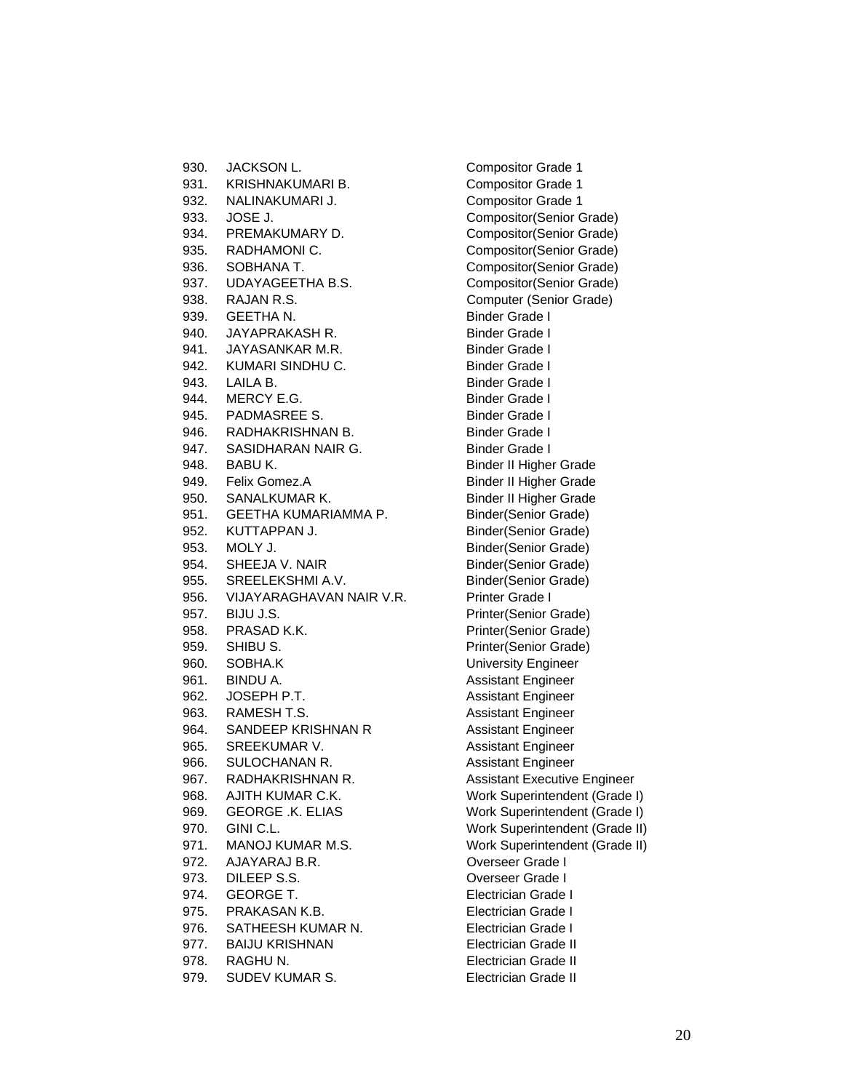930. JACKSON L. Compositor Grade 1 931. KRISHNAKUMARI B. Compositor Grade 1 932. NALINAKUMARI J. Compositor Grade 1 933. JOSE J. Compositor(Senior Grade) 934. PREMAKUMARY D. Compositor(Senior Grade) 935. RADHAMONI C. Compositor(Senior Grade) 936. SOBHANA T. Compositor(Senior Grade) 937. UDAYAGEETHA B.S. Compositor(Senior Grade) 938. RAJAN R.S. **Computer (Senior Grade)** 939. GEETHA N. Binder Grade I 940. JAYAPRAKASH R. Binder Grade I 941. JAYASANKAR M.R. Binder Grade I 942. KUMARI SINDHU C. Binder Grade I 943. LAILA B. Sanctic Contract Contract Binder Grade I 944. MERCY E.G. Binder Grade I 945. PADMASREE S. Binder Grade I 946. RADHAKRISHNAN B. Binder Grade I 947. SASIDHARAN NAIR G. Binder Grade I 948. BABU K. San Binder II Higher Grade 949. Felix Gomez.A Binder II Higher Grade 950. SANALKUMAR K. Binder II Higher Grade 951. GEETHA KUMARIAMMA P. Binder(Senior Grade) 952. KUTTAPPAN J. Binder(Senior Grade) 953. MOLY J. Binder(Senior Grade) 954. SHEEJA V. NAIR Binder(Senior Grade) 955. SREELEKSHMI A.V. Binder(Senior Grade) 956. VIJAYARAGHAVAN NAIR V.R. Printer Grade I 957. BIJU J.S. **Printer(Senior Grade)** 958. PRASAD K.K. PRASAD K.K. Printer(Senior Grade) 959. SHIBU S. Printer(Senior Grade) 960. SOBHA.K University Engineer 961. BINDU A. **Assistant Engineer** 962. JOSEPH P.T. **Assistant Engineer** 963. RAMESH T.S. **Assistant Engineer** 964. SANDEEP KRISHNAN R Assistant Engineer 965. SREEKUMAR V. **ASSISTAN Engineer** 966. SULOCHANAN R. Assistant Engineer 967. RADHAKRISHNAN R. **ASSISTAN EXECUTIVE Engineer** 968. AJITH KUMAR C.K. Work Superintendent (Grade I) 969. GEORGE .K. ELIAS Work Superintendent (Grade I) 970. GINI C.L. Work Superintendent (Grade II) 971. MANOJ KUMAR M.S. Work Superintendent (Grade II) 972. AJAYARAJ B.R. CONNECTRISE CONFIDENT CONTRESS OVER SERIES OVER SERIES OVER SERIES ON A LOCAL DU 973. DILEEP S.S. Coverseer Grade I 974. GEORGE T. **Electrician Grade I** 975. PRAKASAN K.B. **Electrician Grade I** 976. SATHEESH KUMAR N. Electrician Grade I 977. BAIJU KRISHNAN Electrician Grade II 978. RAGHU N. Electrician Grade II 979. SUDEV KUMAR S. Electrician Grade II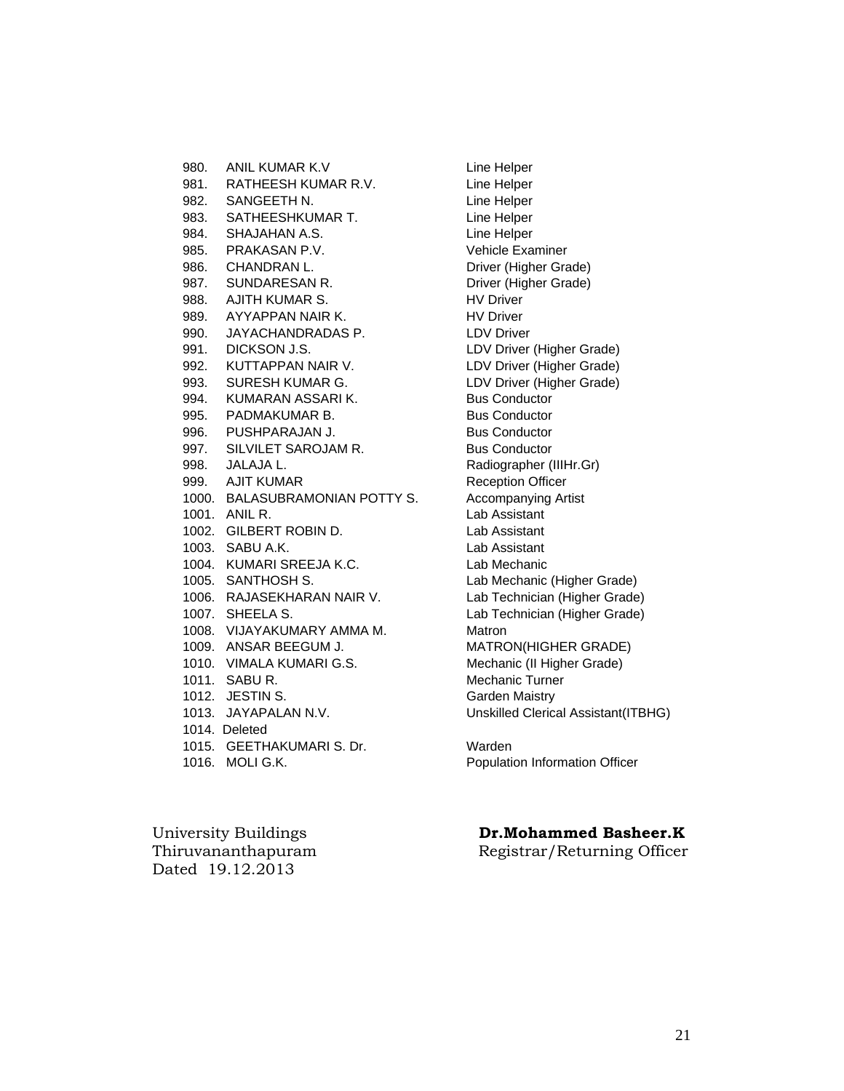980. ANIL KUMAR K.V Line Helper 981. RATHEESH KUMAR R.V. Line Helper 982. SANGEETH N. Line Helper 983. SATHEESHKUMAR T. Line Helper 984. SHAJAHAN A.S. Line Helper 985. PRAKASAN P.V. Vehicle Examiner 986. CHANDRAN L. **Driver (Higher Grade)** 987. SUNDARESAN R. Driver (Higher Grade) 988. AJITH KUMAR S. HV Driver 989. AYYAPPAN NAIR K. HV Driver 990. JAYACHANDRADAS P. LDV Driver 991. DICKSON J.S. LDV Driver (Higher Grade) 992. KUTTAPPAN NAIR V. LDV Driver (Higher Grade) 993. SURESH KUMAR G. LDV Driver (Higher Grade) 994. KUMARAN ASSARI K. Bus Conductor 995. PADMAKUMAR B. Bus Conductor 996. PUSHPARAJAN J. Bus Conductor 997. SILVILET SAROJAM R. Bus Conductor 998. JALAJA L. **Radiographer (IIIHr.Gr)** 999. AJIT KUMAR Reception Officer 1000. BALASUBRAMONIAN POTTY S. Accompanying Artist 1001. ANIL R. Lab Assistant 1002. GILBERT ROBIN D. Lab Assistant 1003. SABU A.K. Lab Assistant 1004. KUMARI SREEJA K.C. Lab Mechanic 1005. SANTHOSH S. Lab Mechanic (Higher Grade) 1006. RAJASEKHARAN NAIR V. Lab Technician (Higher Grade) 1007. SHEELA S. Lab Technician (Higher Grade) 1008. VIJAYAKUMARY AMMA M. Matron 1009. ANSAR BEEGUM J. MATRON(HIGHER GRADE) 1010. VIMALA KUMARI G.S. Mechanic (II Higher Grade) 1011. SABU R. Mechanic Turner 1012. JESTIN S. Garden Maistry 1013. JAYAPALAN N.V. Unskilled Clerical Assistant(ITBHG) 1014. Deleted 1015. GEETHAKUMARI S. Dr. Warden

Dated 19.12.2013

1016. MOLI G.K. **Population Information Officer** 

## University Buildings **Dr.Mohammed Basheer.K**

Thiruvananthapuram Registrar/Returning Officer